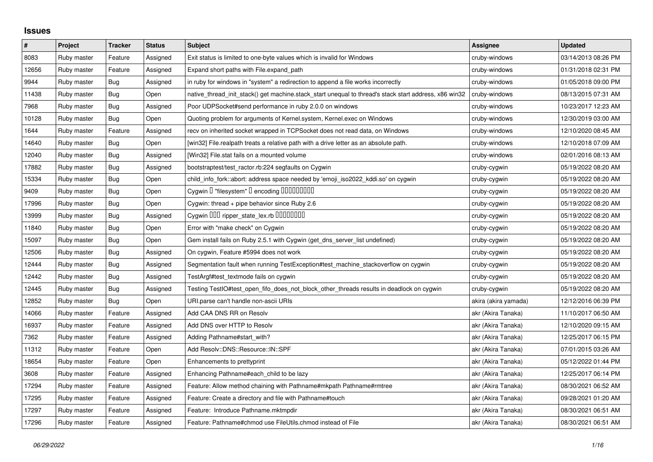## **Issues**

| $\#$  | Project     | <b>Tracker</b> | <b>Status</b> | <b>Subject</b>                                                                                        | <b>Assignee</b>      | <b>Updated</b>      |
|-------|-------------|----------------|---------------|-------------------------------------------------------------------------------------------------------|----------------------|---------------------|
| 8083  | Ruby master | Feature        | Assigned      | Exit status is limited to one-byte values which is invalid for Windows                                | cruby-windows        | 03/14/2013 08:26 PM |
| 12656 | Ruby master | Feature        | Assigned      | Expand short paths with File.expand_path                                                              | cruby-windows        | 01/31/2018 02:31 PM |
| 9944  | Ruby master | Bug            | Assigned      | in ruby for windows in "system" a redirection to append a file works incorrectly                      | cruby-windows        | 01/05/2018 09:00 PM |
| 11438 | Ruby master | Bug            | Open          | native thread init stack() get machine.stack start unequal to thread's stack start address, x86 win32 | cruby-windows        | 08/13/2015 07:31 AM |
| 7968  | Ruby master | Bug            | Assigned      | Poor UDPS ocket#send performance in ruby 2.0.0 on windows                                             | cruby-windows        | 10/23/2017 12:23 AM |
| 10128 | Ruby master | Bug            | Open          | Quoting problem for arguments of Kernel.system, Kernel.exec on Windows                                | cruby-windows        | 12/30/2019 03:00 AM |
| 1644  | Ruby master | Feature        | Assigned      | recv on inherited socket wrapped in TCPSocket does not read data, on Windows                          | cruby-windows        | 12/10/2020 08:45 AM |
| 14640 | Ruby master | Bug            | Open          | [win32] File.realpath treats a relative path with a drive letter as an absolute path.                 | cruby-windows        | 12/10/2018 07:09 AM |
| 12040 | Ruby master | Bug            | Assigned      | [Win32] File.stat fails on a mounted volume                                                           | cruby-windows        | 02/01/2016 08:13 AM |
| 17882 | Ruby master | Bug            | Assigned      | bootstraptest/test_ractor.rb:224 segfaults on Cygwin                                                  | cruby-cygwin         | 05/19/2022 08:20 AM |
| 15334 | Ruby master | Bug            | Open          | child_info_fork::abort: address space needed by 'emoji_iso2022_kddi.so' on cygwin                     | cruby-cygwin         | 05/19/2022 08:20 AM |
| 9409  | Ruby master | <b>Bug</b>     | Open          | Cygwin I "filesystem" I encoding IIIIIIIIIIII                                                         | cruby-cygwin         | 05/19/2022 08:20 AM |
| 17996 | Ruby master | Bug            | Open          | Cygwin: thread + pipe behavior since Ruby 2.6                                                         | cruby-cygwin         | 05/19/2022 08:20 AM |
| 13999 | Ruby master | Bug            | Assigned      | Cygwin OOO ripper_state_lex.rb 00000000                                                               | cruby-cygwin         | 05/19/2022 08:20 AM |
| 11840 | Ruby master | Bug            | Open          | Error with "make check" on Cygwin                                                                     | cruby-cygwin         | 05/19/2022 08:20 AM |
| 15097 | Ruby master | <b>Bug</b>     | Open          | Gem install fails on Ruby 2.5.1 with Cygwin (get_dns_server_list undefined)                           | cruby-cygwin         | 05/19/2022 08:20 AM |
| 12506 | Ruby master | Bug            | Assigned      | On cygwin, Feature #5994 does not work                                                                | cruby-cygwin         | 05/19/2022 08:20 AM |
| 12444 | Ruby master | Bug            | Assigned      | Segmentation fault when running TestException#test machine stackoverflow on cygwin                    | cruby-cygwin         | 05/19/2022 08:20 AM |
| 12442 | Ruby master | Bug            | Assigned      | TestArgf#test_textmode fails on cygwin                                                                | cruby-cygwin         | 05/19/2022 08:20 AM |
| 12445 | Ruby master | Bug            | Assigned      | Testing TestIO#test_open_fifo_does_not_block_other_threads results in deadlock on cygwin              | cruby-cygwin         | 05/19/2022 08:20 AM |
| 12852 | Ruby master | <b>Bug</b>     | Open          | URI.parse can't handle non-ascii URIs                                                                 | akira (akira yamada) | 12/12/2016 06:39 PM |
| 14066 | Ruby master | Feature        | Assigned      | Add CAA DNS RR on Resolv                                                                              | akr (Akira Tanaka)   | 11/10/2017 06:50 AM |
| 16937 | Ruby master | Feature        | Assigned      | Add DNS over HTTP to Resolv                                                                           | akr (Akira Tanaka)   | 12/10/2020 09:15 AM |
| 7362  | Ruby master | Feature        | Assigned      | Adding Pathname#start with?                                                                           | akr (Akira Tanaka)   | 12/25/2017 06:15 PM |
| 11312 | Ruby master | Feature        | Open          | Add Resolv::DNS::Resource::IN::SPF                                                                    | akr (Akira Tanaka)   | 07/01/2015 03:26 AM |
| 18654 | Ruby master | Feature        | Open          | Enhancements to prettyprint                                                                           | akr (Akira Tanaka)   | 05/12/2022 01:44 PM |
| 3608  | Ruby master | Feature        | Assigned      | Enhancing Pathname#each_child to be lazy                                                              | akr (Akira Tanaka)   | 12/25/2017 06:14 PM |
| 17294 | Ruby master | Feature        | Assigned      | Feature: Allow method chaining with Pathname#mkpath Pathname#rmtree                                   | akr (Akira Tanaka)   | 08/30/2021 06:52 AM |
| 17295 | Ruby master | Feature        | Assigned      | Feature: Create a directory and file with Pathname#touch                                              | akr (Akira Tanaka)   | 09/28/2021 01:20 AM |
| 17297 | Ruby master | Feature        | Assigned      | Feature: Introduce Pathname.mktmpdir                                                                  | akr (Akira Tanaka)   | 08/30/2021 06:51 AM |
| 17296 | Ruby master | Feature        | Assigned      | Feature: Pathname#chmod use FileUtils.chmod instead of File                                           | akr (Akira Tanaka)   | 08/30/2021 06:51 AM |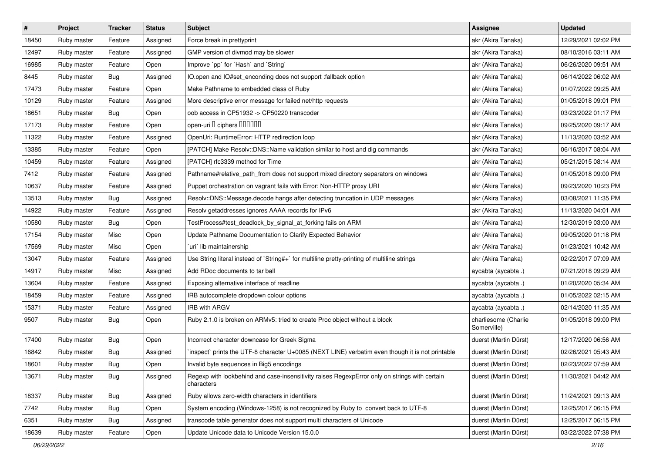| $\sharp$ | Project     | <b>Tracker</b> | <b>Status</b> | <b>Subject</b>                                                                                              | Assignee                            | <b>Updated</b>      |
|----------|-------------|----------------|---------------|-------------------------------------------------------------------------------------------------------------|-------------------------------------|---------------------|
| 18450    | Ruby master | Feature        | Assigned      | Force break in prettyprint                                                                                  | akr (Akira Tanaka)                  | 12/29/2021 02:02 PM |
| 12497    | Ruby master | Feature        | Assigned      | GMP version of divmod may be slower                                                                         | akr (Akira Tanaka)                  | 08/10/2016 03:11 AM |
| 16985    | Ruby master | Feature        | Open          | Improve `pp` for `Hash` and `String`                                                                        | akr (Akira Tanaka)                  | 06/26/2020 09:51 AM |
| 8445     | Ruby master | Bug            | Assigned      | IO.open and IO#set_enconding does not support :fallback option                                              | akr (Akira Tanaka)                  | 06/14/2022 06:02 AM |
| 17473    | Ruby master | Feature        | Open          | Make Pathname to embedded class of Ruby                                                                     | akr (Akira Tanaka)                  | 01/07/2022 09:25 AM |
| 10129    | Ruby master | Feature        | Assigned      | More descriptive error message for failed net/http requests                                                 | akr (Akira Tanaka)                  | 01/05/2018 09:01 PM |
| 18651    | Ruby master | Bug            | Open          | oob access in CP51932 -> CP50220 transcoder                                                                 | akr (Akira Tanaka)                  | 03/23/2022 01:17 PM |
| 17173    | Ruby master | Feature        | Open          | open-uri D ciphers DOODOO                                                                                   | akr (Akira Tanaka)                  | 09/25/2020 09:17 AM |
| 11322    | Ruby master | Feature        | Assigned      | OpenUri: RuntimeError: HTTP redirection loop                                                                | akr (Akira Tanaka)                  | 11/13/2020 03:52 AM |
| 13385    | Ruby master | Feature        | Open          | [PATCH] Make Resolv::DNS::Name validation similar to host and dig commands                                  | akr (Akira Tanaka)                  | 06/16/2017 08:04 AM |
| 10459    | Ruby master | Feature        | Assigned      | [PATCH] rfc3339 method for Time                                                                             | akr (Akira Tanaka)                  | 05/21/2015 08:14 AM |
| 7412     | Ruby master | Feature        | Assigned      | Pathname#relative_path_from does not support mixed directory separators on windows                          | akr (Akira Tanaka)                  | 01/05/2018 09:00 PM |
| 10637    | Ruby master | Feature        | Assigned      | Puppet orchestration on vagrant fails with Error: Non-HTTP proxy URI                                        | akr (Akira Tanaka)                  | 09/23/2020 10:23 PM |
| 13513    | Ruby master | <b>Bug</b>     | Assigned      | Resolv::DNS::Message.decode hangs after detecting truncation in UDP messages                                | akr (Akira Tanaka)                  | 03/08/2021 11:35 PM |
| 14922    | Ruby master | Feature        | Assigned      | Resolv getaddresses ignores AAAA records for IPv6                                                           | akr (Akira Tanaka)                  | 11/13/2020 04:01 AM |
| 10580    | Ruby master | Bug            | Open          | TestProcess#test_deadlock_by_signal_at_forking fails on ARM                                                 | akr (Akira Tanaka)                  | 12/30/2019 03:00 AM |
| 17154    | Ruby master | Misc           | Open          | Update Pathname Documentation to Clarify Expected Behavior                                                  | akr (Akira Tanaka)                  | 09/05/2020 01:18 PM |
| 17569    | Ruby master | Misc           | Open          | uri lib maintainership                                                                                      | akr (Akira Tanaka)                  | 01/23/2021 10:42 AM |
| 13047    | Ruby master | Feature        | Assigned      | Use String literal instead of `String#+` for multiline pretty-printing of multiline strings                 | akr (Akira Tanaka)                  | 02/22/2017 07:09 AM |
| 14917    | Ruby master | Misc           | Assigned      | Add RDoc documents to tar ball                                                                              | aycabta (aycabta.)                  | 07/21/2018 09:29 AM |
| 13604    | Ruby master | Feature        | Assigned      | Exposing alternative interface of readline                                                                  | aycabta (aycabta.)                  | 01/20/2020 05:34 AM |
| 18459    | Ruby master | Feature        | Assigned      | IRB autocomplete dropdown colour options                                                                    | aycabta (aycabta.)                  | 01/05/2022 02:15 AM |
| 15371    | Ruby master | Feature        | Assigned      | <b>IRB with ARGV</b>                                                                                        | aycabta (aycabta.)                  | 02/14/2020 11:35 AM |
| 9507     | Ruby master | Bug            | Open          | Ruby 2.1.0 is broken on ARMv5: tried to create Proc object without a block                                  | charliesome (Charlie<br>Somerville) | 01/05/2018 09:00 PM |
| 17400    | Ruby master | Bug            | Open          | Incorrect character downcase for Greek Sigma                                                                | duerst (Martin Dürst)               | 12/17/2020 06:56 AM |
| 16842    | Ruby master | Bug            | Assigned      | inspect` prints the UTF-8 character U+0085 (NEXT LINE) verbatim even though it is not printable             | duerst (Martin Dürst)               | 02/26/2021 05:43 AM |
| 18601    | Ruby master | <b>Bug</b>     | Open          | Invalid byte sequences in Big5 encodings                                                                    | duerst (Martin Dürst)               | 02/23/2022 07:59 AM |
| 13671    | Ruby master | <b>Bug</b>     | Assigned      | Regexp with lookbehind and case-insensitivity raises RegexpError only on strings with certain<br>characters | duerst (Martin Dürst)               | 11/30/2021 04:42 AM |
| 18337    | Ruby master | <b>Bug</b>     | Assigned      | Ruby allows zero-width characters in identifiers                                                            | duerst (Martin Dürst)               | 11/24/2021 09:13 AM |
| 7742     | Ruby master | <b>Bug</b>     | Open          | System encoding (Windows-1258) is not recognized by Ruby to convert back to UTF-8                           | duerst (Martin Dürst)               | 12/25/2017 06:15 PM |
| 6351     | Ruby master | <b>Bug</b>     | Assigned      | transcode table generator does not support multi characters of Unicode                                      | duerst (Martin Dürst)               | 12/25/2017 06:15 PM |
| 18639    | Ruby master | Feature        | Open          | Update Unicode data to Unicode Version 15.0.0                                                               | duerst (Martin Dürst)               | 03/22/2022 07:38 PM |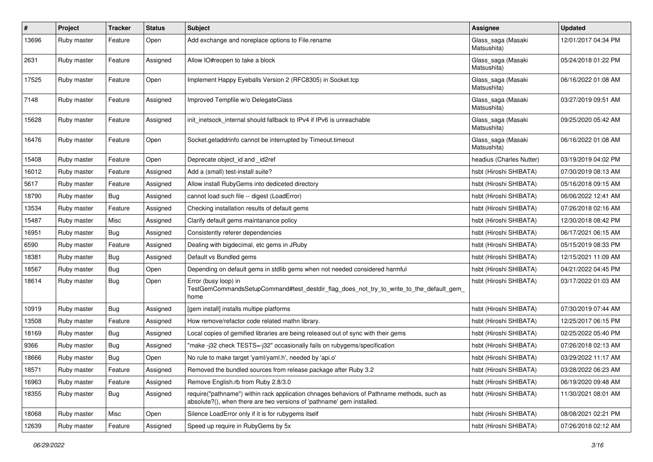| $\sharp$ | Project     | <b>Tracker</b> | <b>Status</b> | <b>Subject</b>                                                                                                                                                      | <b>Assignee</b>                   | <b>Updated</b>      |
|----------|-------------|----------------|---------------|---------------------------------------------------------------------------------------------------------------------------------------------------------------------|-----------------------------------|---------------------|
| 13696    | Ruby master | Feature        | Open          | Add exchange and noreplace options to File.rename                                                                                                                   | Glass_saga (Masaki<br>Matsushita) | 12/01/2017 04:34 PM |
| 2631     | Ruby master | Feature        | Assigned      | Allow IO#reopen to take a block                                                                                                                                     | Glass_saga (Masaki<br>Matsushita) | 05/24/2018 01:22 PM |
| 17525    | Ruby master | Feature        | Open          | Implement Happy Eyeballs Version 2 (RFC8305) in Socket.tcp                                                                                                          | Glass_saga (Masaki<br>Matsushita) | 06/16/2022 01:08 AM |
| 7148     | Ruby master | Feature        | Assigned      | Improved Tempfile w/o DelegateClass                                                                                                                                 | Glass_saga (Masaki<br>Matsushita) | 03/27/2019 09:51 AM |
| 15628    | Ruby master | Feature        | Assigned      | init_inetsock_internal should fallback to IPv4 if IPv6 is unreachable                                                                                               | Glass_saga (Masaki<br>Matsushita) | 09/25/2020 05:42 AM |
| 16476    | Ruby master | Feature        | Open          | Socket.getaddrinfo cannot be interrupted by Timeout.timeout                                                                                                         | Glass_saga (Masaki<br>Matsushita) | 06/16/2022 01:08 AM |
| 15408    | Ruby master | Feature        | Open          | Deprecate object_id and _id2ref                                                                                                                                     | headius (Charles Nutter)          | 03/19/2019 04:02 PM |
| 16012    | Ruby master | Feature        | Assigned      | Add a (small) test-install suite?                                                                                                                                   | hsbt (Hiroshi SHIBATA)            | 07/30/2019 08:13 AM |
| 5617     | Ruby master | Feature        | Assigned      | Allow install RubyGems into dediceted directory                                                                                                                     | hsbt (Hiroshi SHIBATA)            | 05/16/2018 09:15 AM |
| 18790    | Ruby master | Bug            | Assigned      | cannot load such file -- digest (LoadError)                                                                                                                         | hsbt (Hiroshi SHIBATA)            | 06/06/2022 12:41 AM |
| 13534    | Ruby master | Feature        | Assigned      | Checking installation results of default gems                                                                                                                       | hsbt (Hiroshi SHIBATA)            | 07/26/2018 02:16 AM |
| 15487    | Ruby master | Misc           | Assigned      | Clarify default gems maintanance policy                                                                                                                             | hsbt (Hiroshi SHIBATA)            | 12/30/2018 08:42 PM |
| 16951    | Ruby master | Bug            | Assigned      | Consistently referer dependencies                                                                                                                                   | hsbt (Hiroshi SHIBATA)            | 06/17/2021 06:15 AM |
| 6590     | Ruby master | Feature        | Assigned      | Dealing with bigdecimal, etc gems in JRuby                                                                                                                          | hsbt (Hiroshi SHIBATA)            | 05/15/2019 08:33 PM |
| 18381    | Ruby master | Bug            | Assigned      | Default vs Bundled gems                                                                                                                                             | hsbt (Hiroshi SHIBATA)            | 12/15/2021 11:09 AM |
| 18567    | Ruby master | <b>Bug</b>     | Open          | Depending on default gems in stdlib gems when not needed considered harmful                                                                                         | hsbt (Hiroshi SHIBATA)            | 04/21/2022 04:45 PM |
| 18614    | Ruby master | Bug            | Open          | Error (busy loop) in<br>TestGemCommandsSetupCommand#test_destdir_flag_does_not_try_to_write_to_the_default_gem_<br>home                                             | hsbt (Hiroshi SHIBATA)            | 03/17/2022 01:03 AM |
| 10919    | Ruby master | Bug            | Assigned      | [gem install] installs multipe platforms                                                                                                                            | hsbt (Hiroshi SHIBATA)            | 07/30/2019 07:44 AM |
| 13508    | Ruby master | Feature        | Assigned      | How remove/refactor code related mathn library.                                                                                                                     | hsbt (Hiroshi SHIBATA)            | 12/25/2017 06:15 PM |
| 18169    | Ruby master | Bug            | Assigned      | Local copies of gemified libraries are being released out of sync with their gems                                                                                   | hsbt (Hiroshi SHIBATA)            | 02/25/2022 05:40 PM |
| 9366     | Ruby master | Bug            | Assigned      | "make-j32 check TESTS=-j32" occasionally fails on rubygems/specification                                                                                            | hsbt (Hiroshi SHIBATA)            | 07/26/2018 02:13 AM |
| 18666    | Ruby master | <b>Bug</b>     | Open          | No rule to make target 'yaml/yaml.h', needed by 'api.o'                                                                                                             | hsbt (Hiroshi SHIBATA)            | 03/29/2022 11:17 AM |
| 18571    | Ruby master | Feature        | Assigned      | Removed the bundled sources from release package after Ruby 3.2                                                                                                     | hsbt (Hiroshi SHIBATA)            | 03/28/2022 06:23 AM |
| 16963    | Ruby master | Feature        | Assigned      | Remove English.rb from Ruby 2.8/3.0                                                                                                                                 | hsbt (Hiroshi SHIBATA)            | 06/19/2020 09:48 AM |
| 18355    | Ruby master | <b>Bug</b>     | Assigned      | require("pathname") within rack application chnages behaviors of Pathname methods, such as<br>absolute?(), when there are two versions of 'pathname' gem installed. | hsbt (Hiroshi SHIBATA)            | 11/30/2021 08:01 AM |
| 18068    | Ruby master | Misc           | Open          | Silence LoadError only if it is for rubygems itself                                                                                                                 | hsbt (Hiroshi SHIBATA)            | 08/08/2021 02:21 PM |
| 12639    | Ruby master | Feature        | Assigned      | Speed up require in RubyGems by 5x                                                                                                                                  | hsbt (Hiroshi SHIBATA)            | 07/26/2018 02:12 AM |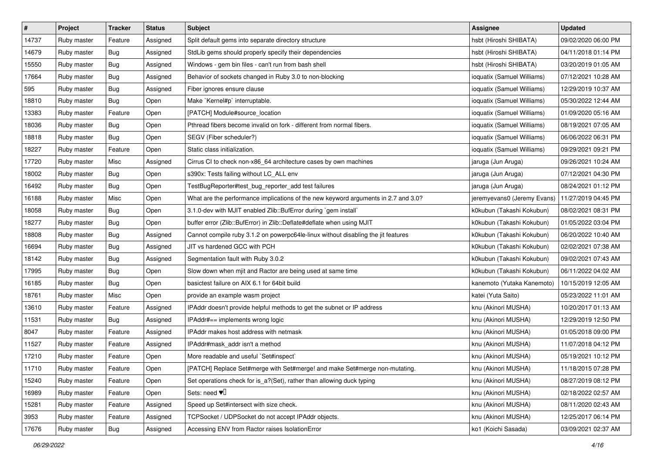| $\pmb{\#}$ | Project     | <b>Tracker</b> | <b>Status</b> | <b>Subject</b>                                                                     | Assignee                    | <b>Updated</b>      |
|------------|-------------|----------------|---------------|------------------------------------------------------------------------------------|-----------------------------|---------------------|
| 14737      | Ruby master | Feature        | Assigned      | Split default gems into separate directory structure                               | hsbt (Hiroshi SHIBATA)      | 09/02/2020 06:00 PM |
| 14679      | Ruby master | Bug            | Assigned      | StdLib gems should properly specify their dependencies                             | hsbt (Hiroshi SHIBATA)      | 04/11/2018 01:14 PM |
| 15550      | Ruby master | Bug            | Assigned      | Windows - gem bin files - can't run from bash shell                                | hsbt (Hiroshi SHIBATA)      | 03/20/2019 01:05 AM |
| 17664      | Ruby master | Bug            | Assigned      | Behavior of sockets changed in Ruby 3.0 to non-blocking                            | ioquatix (Samuel Williams)  | 07/12/2021 10:28 AM |
| 595        | Ruby master | Bug            | Assigned      | Fiber ignores ensure clause                                                        | ioquatix (Samuel Williams)  | 12/29/2019 10:37 AM |
| 18810      | Ruby master | Bug            | Open          | Make `Kernel#p` interruptable.                                                     | ioquatix (Samuel Williams)  | 05/30/2022 12:44 AM |
| 13383      | Ruby master | Feature        | Open          | [PATCH] Module#source_location                                                     | ioquatix (Samuel Williams)  | 01/09/2020 05:16 AM |
| 18036      | Ruby master | Bug            | Open          | Pthread fibers become invalid on fork - different from normal fibers.              | ioquatix (Samuel Williams)  | 08/19/2021 07:05 AM |
| 18818      | Ruby master | Bug            | Open          | SEGV (Fiber scheduler?)                                                            | ioquatix (Samuel Williams)  | 06/06/2022 06:31 PM |
| 18227      | Ruby master | Feature        | Open          | Static class initialization.                                                       | ioquatix (Samuel Williams)  | 09/29/2021 09:21 PM |
| 17720      | Ruby master | Misc           | Assigned      | Cirrus CI to check non-x86_64 architecture cases by own machines                   | jaruga (Jun Aruga)          | 09/26/2021 10:24 AM |
| 18002      | Ruby master | Bug            | Open          | s390x: Tests failing without LC_ALL env                                            | jaruga (Jun Aruga)          | 07/12/2021 04:30 PM |
| 16492      | Ruby master | Bug            | Open          | TestBugReporter#test_bug_reporter_add test failures                                | jaruga (Jun Aruga)          | 08/24/2021 01:12 PM |
| 16188      | Ruby master | Misc           | Open          | What are the performance implications of the new keyword arguments in 2.7 and 3.0? | jeremyevans0 (Jeremy Evans) | 11/27/2019 04:45 PM |
| 18058      | Ruby master | Bug            | Open          | 3.1.0-dev with MJIT enabled Zlib::BufError during `gem install`                    | k0kubun (Takashi Kokubun)   | 08/02/2021 08:31 PM |
| 18277      | Ruby master | <b>Bug</b>     | Open          | buffer error (Zlib::BufError) in Zlib::Deflate#deflate when using MJIT             | k0kubun (Takashi Kokubun)   | 01/05/2022 03:04 PM |
| 18808      | Ruby master | Bug            | Assigned      | Cannot compile ruby 3.1.2 on powerpc64le-linux without disabling the jit features  | k0kubun (Takashi Kokubun)   | 06/20/2022 10:40 AM |
| 16694      | Ruby master | Bug            | Assigned      | JIT vs hardened GCC with PCH                                                       | k0kubun (Takashi Kokubun)   | 02/02/2021 07:38 AM |
| 18142      | Ruby master | <b>Bug</b>     | Assigned      | Segmentation fault with Ruby 3.0.2                                                 | k0kubun (Takashi Kokubun)   | 09/02/2021 07:43 AM |
| 17995      | Ruby master | Bug            | Open          | Slow down when mjit and Ractor are being used at same time                         | k0kubun (Takashi Kokubun)   | 06/11/2022 04:02 AM |
| 16185      | Ruby master | Bug            | Open          | basictest failure on AIX 6.1 for 64bit build                                       | kanemoto (Yutaka Kanemoto)  | 10/15/2019 12:05 AM |
| 18761      | Ruby master | Misc           | Open          | provide an example wasm project                                                    | katei (Yuta Saito)          | 05/23/2022 11:01 AM |
| 13610      | Ruby master | Feature        | Assigned      | IPAddr doesn't provide helpful methods to get the subnet or IP address             | knu (Akinori MUSHA)         | 10/20/2017 01:13 AM |
| 11531      | Ruby master | Bug            | Assigned      | IPAddr#== implements wrong logic                                                   | knu (Akinori MUSHA)         | 12/29/2019 12:50 PM |
| 8047       | Ruby master | Feature        | Assigned      | IPAddr makes host address with netmask                                             | knu (Akinori MUSHA)         | 01/05/2018 09:00 PM |
| 11527      | Ruby master | Feature        | Assigned      | IPAddr#mask_addr isn't a method                                                    | knu (Akinori MUSHA)         | 11/07/2018 04:12 PM |
| 17210      | Ruby master | Feature        | Open          | More readable and useful `Set#inspect`                                             | knu (Akinori MUSHA)         | 05/19/2021 10:12 PM |
| 11710      | Ruby master | Feature        | Open          | [PATCH] Replace Set#merge with Set#merge! and make Set#merge non-mutating.         | knu (Akinori MUSHA)         | 11/18/2015 07:28 PM |
| 15240      | Ruby master | Feature        | Open          | Set operations check for is a?(Set), rather than allowing duck typing              | knu (Akinori MUSHA)         | 08/27/2019 08:12 PM |
| 16989      | Ruby master | Feature        | Open          | Sets: need $\Psi$                                                                  | knu (Akinori MUSHA)         | 02/18/2022 02:57 AM |
| 15281      | Ruby master | Feature        | Assigned      | Speed up Set#intersect with size check.                                            | knu (Akinori MUSHA)         | 08/11/2020 02:43 AM |
| 3953       | Ruby master | Feature        | Assigned      | TCPSocket / UDPSocket do not accept IPAddr objects.                                | knu (Akinori MUSHA)         | 12/25/2017 06:14 PM |
| 17676      | Ruby master | Bug            | Assigned      | Accessing ENV from Ractor raises IsolationError                                    | ko1 (Koichi Sasada)         | 03/09/2021 02:37 AM |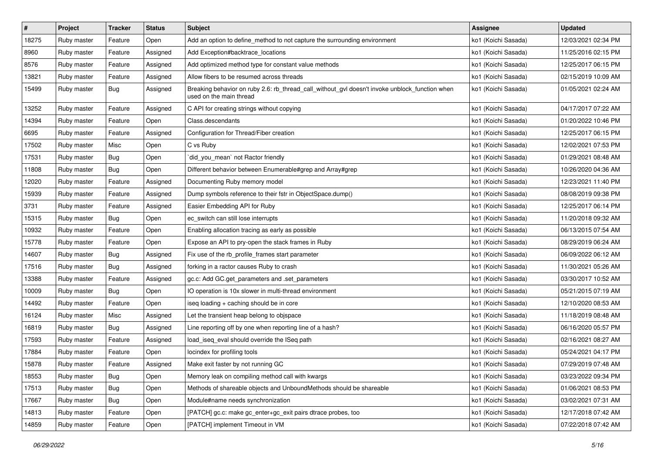| $\vert$ # | Project     | <b>Tracker</b> | <b>Status</b> | <b>Subject</b>                                                                                                            | Assignee            | <b>Updated</b>      |
|-----------|-------------|----------------|---------------|---------------------------------------------------------------------------------------------------------------------------|---------------------|---------------------|
| 18275     | Ruby master | Feature        | Open          | Add an option to define_method to not capture the surrounding environment                                                 | ko1 (Koichi Sasada) | 12/03/2021 02:34 PM |
| 8960      | Ruby master | Feature        | Assigned      | Add Exception#backtrace_locations                                                                                         | ko1 (Koichi Sasada) | 11/25/2016 02:15 PM |
| 8576      | Ruby master | Feature        | Assigned      | Add optimized method type for constant value methods                                                                      | ko1 (Koichi Sasada) | 12/25/2017 06:15 PM |
| 13821     | Ruby master | Feature        | Assigned      | Allow fibers to be resumed across threads                                                                                 | ko1 (Koichi Sasada) | 02/15/2019 10:09 AM |
| 15499     | Ruby master | Bug            | Assigned      | Breaking behavior on ruby 2.6: rb_thread_call_without_gvl doesn't invoke unblock_function when<br>used on the main thread | ko1 (Koichi Sasada) | 01/05/2021 02:24 AM |
| 13252     | Ruby master | Feature        | Assigned      | C API for creating strings without copying                                                                                | ko1 (Koichi Sasada) | 04/17/2017 07:22 AM |
| 14394     | Ruby master | Feature        | Open          | Class.descendants                                                                                                         | ko1 (Koichi Sasada) | 01/20/2022 10:46 PM |
| 6695      | Ruby master | Feature        | Assigned      | Configuration for Thread/Fiber creation                                                                                   | ko1 (Koichi Sasada) | 12/25/2017 06:15 PM |
| 17502     | Ruby master | Misc           | Open          | C vs Ruby                                                                                                                 | ko1 (Koichi Sasada) | 12/02/2021 07:53 PM |
| 17531     | Ruby master | Bug            | Open          | did_you_mean` not Ractor friendly                                                                                         | ko1 (Koichi Sasada) | 01/29/2021 08:48 AM |
| 11808     | Ruby master | Bug            | Open          | Different behavior between Enumerable#grep and Array#grep                                                                 | ko1 (Koichi Sasada) | 10/26/2020 04:36 AM |
| 12020     | Ruby master | Feature        | Assigned      | Documenting Ruby memory model                                                                                             | ko1 (Koichi Sasada) | 12/23/2021 11:40 PM |
| 15939     | Ruby master | Feature        | Assigned      | Dump symbols reference to their fstr in ObjectSpace.dump()                                                                | ko1 (Koichi Sasada) | 08/08/2019 09:38 PM |
| 3731      | Ruby master | Feature        | Assigned      | Easier Embedding API for Ruby                                                                                             | ko1 (Koichi Sasada) | 12/25/2017 06:14 PM |
| 15315     | Ruby master | <b>Bug</b>     | Open          | ec_switch can still lose interrupts                                                                                       | ko1 (Koichi Sasada) | 11/20/2018 09:32 AM |
| 10932     | Ruby master | Feature        | Open          | Enabling allocation tracing as early as possible                                                                          | ko1 (Koichi Sasada) | 06/13/2015 07:54 AM |
| 15778     | Ruby master | Feature        | Open          | Expose an API to pry-open the stack frames in Ruby                                                                        | ko1 (Koichi Sasada) | 08/29/2019 06:24 AM |
| 14607     | Ruby master | Bug            | Assigned      | Fix use of the rb_profile_frames start parameter                                                                          | ko1 (Koichi Sasada) | 06/09/2022 06:12 AM |
| 17516     | Ruby master | Bug            | Assigned      | forking in a ractor causes Ruby to crash                                                                                  | ko1 (Koichi Sasada) | 11/30/2021 05:26 AM |
| 13388     | Ruby master | Feature        | Assigned      | gc.c: Add GC.get_parameters and .set_parameters                                                                           | ko1 (Koichi Sasada) | 03/30/2017 10:52 AM |
| 10009     | Ruby master | Bug            | Open          | IO operation is 10x slower in multi-thread environment                                                                    | ko1 (Koichi Sasada) | 05/21/2015 07:19 AM |
| 14492     | Ruby master | Feature        | Open          | iseq loading + caching should be in core                                                                                  | ko1 (Koichi Sasada) | 12/10/2020 08:53 AM |
| 16124     | Ruby master | Misc           | Assigned      | Let the transient heap belong to objspace                                                                                 | ko1 (Koichi Sasada) | 11/18/2019 08:48 AM |
| 16819     | Ruby master | Bug            | Assigned      | Line reporting off by one when reporting line of a hash?                                                                  | ko1 (Koichi Sasada) | 06/16/2020 05:57 PM |
| 17593     | Ruby master | Feature        | Assigned      | load_iseq_eval should override the ISeq path                                                                              | ko1 (Koichi Sasada) | 02/16/2021 08:27 AM |
| 17884     | Ruby master | Feature        | Open          | locindex for profiling tools                                                                                              | ko1 (Koichi Sasada) | 05/24/2021 04:17 PM |
| 15878     | Ruby master | Feature        | Assigned      | Make exit faster by not running GC                                                                                        | ko1 (Koichi Sasada) | 07/29/2019 07:48 AM |
| 18553     | Ruby master | <b>Bug</b>     | Open          | Memory leak on compiling method call with kwargs                                                                          | ko1 (Koichi Sasada) | 03/23/2022 09:34 PM |
| 17513     | Ruby master | Bug            | Open          | Methods of shareable objects and UnboundMethods should be shareable                                                       | ko1 (Koichi Sasada) | 01/06/2021 08:53 PM |
| 17667     | Ruby master | <b>Bug</b>     | Open          | Module#name needs synchronization                                                                                         | ko1 (Koichi Sasada) | 03/02/2021 07:31 AM |
| 14813     | Ruby master | Feature        | Open          | [PATCH] gc.c: make gc_enter+gc_exit pairs dtrace probes, too                                                              | ko1 (Koichi Sasada) | 12/17/2018 07:42 AM |
| 14859     | Ruby master | Feature        | Open          | [PATCH] implement Timeout in VM                                                                                           | ko1 (Koichi Sasada) | 07/22/2018 07:42 AM |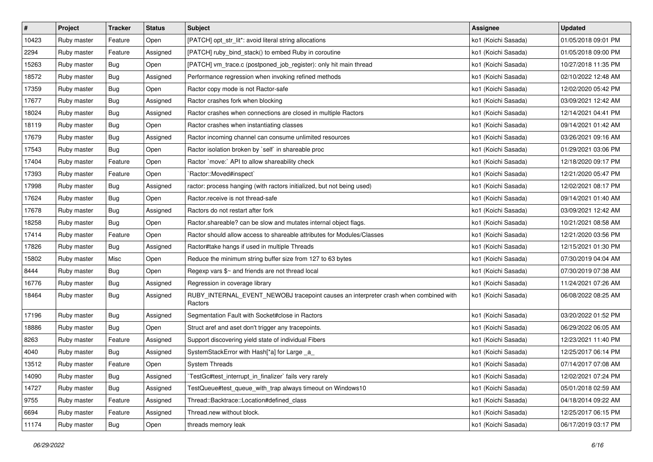| $\sharp$ | Project     | <b>Tracker</b> | <b>Status</b> | <b>Subject</b>                                                                                  | Assignee            | <b>Updated</b>      |
|----------|-------------|----------------|---------------|-------------------------------------------------------------------------------------------------|---------------------|---------------------|
| 10423    | Ruby master | Feature        | Open          | [PATCH] opt_str_lit*: avoid literal string allocations                                          | ko1 (Koichi Sasada) | 01/05/2018 09:01 PM |
| 2294     | Ruby master | Feature        | Assigned      | [PATCH] ruby_bind_stack() to embed Ruby in coroutine                                            | ko1 (Koichi Sasada) | 01/05/2018 09:00 PM |
| 15263    | Ruby master | Bug            | Open          | [PATCH] vm_trace.c (postponed_job_register): only hit main thread                               | ko1 (Koichi Sasada) | 10/27/2018 11:35 PM |
| 18572    | Ruby master | Bug            | Assigned      | Performance regression when invoking refined methods                                            | ko1 (Koichi Sasada) | 02/10/2022 12:48 AM |
| 17359    | Ruby master | <b>Bug</b>     | Open          | Ractor copy mode is not Ractor-safe                                                             | ko1 (Koichi Sasada) | 12/02/2020 05:42 PM |
| 17677    | Ruby master | Bug            | Assigned      | Ractor crashes fork when blocking                                                               | ko1 (Koichi Sasada) | 03/09/2021 12:42 AM |
| 18024    | Ruby master | Bug            | Assigned      | Ractor crashes when connections are closed in multiple Ractors                                  | ko1 (Koichi Sasada) | 12/14/2021 04:41 PM |
| 18119    | Ruby master | Bug            | Open          | Ractor crashes when instantiating classes                                                       | ko1 (Koichi Sasada) | 09/14/2021 01:42 AM |
| 17679    | Ruby master | Bug            | Assigned      | Ractor incoming channel can consume unlimited resources                                         | ko1 (Koichi Sasada) | 03/26/2021 09:16 AM |
| 17543    | Ruby master | <b>Bug</b>     | Open          | Ractor isolation broken by `self` in shareable proc                                             | ko1 (Koichi Sasada) | 01/29/2021 03:06 PM |
| 17404    | Ruby master | Feature        | Open          | Ractor `move:` API to allow shareability check                                                  | ko1 (Koichi Sasada) | 12/18/2020 09:17 PM |
| 17393    | Ruby master | Feature        | Open          | `Ractor::Moved#inspect`                                                                         | ko1 (Koichi Sasada) | 12/21/2020 05:47 PM |
| 17998    | Ruby master | Bug            | Assigned      | ractor: process hanging (with ractors initialized, but not being used)                          | ko1 (Koichi Sasada) | 12/02/2021 08:17 PM |
| 17624    | Ruby master | Bug            | Open          | Ractor.receive is not thread-safe                                                               | ko1 (Koichi Sasada) | 09/14/2021 01:40 AM |
| 17678    | Ruby master | Bug            | Assigned      | Ractors do not restart after fork                                                               | ko1 (Koichi Sasada) | 03/09/2021 12:42 AM |
| 18258    | Ruby master | Bug            | Open          | Ractor shareable? can be slow and mutates internal object flags.                                | ko1 (Koichi Sasada) | 10/21/2021 08:58 AM |
| 17414    | Ruby master | Feature        | Open          | Ractor should allow access to shareable attributes for Modules/Classes                          | ko1 (Koichi Sasada) | 12/21/2020 03:56 PM |
| 17826    | Ruby master | Bug            | Assigned      | Ractor#take hangs if used in multiple Threads                                                   | ko1 (Koichi Sasada) | 12/15/2021 01:30 PM |
| 15802    | Ruby master | Misc           | Open          | Reduce the minimum string buffer size from 127 to 63 bytes                                      | ko1 (Koichi Sasada) | 07/30/2019 04:04 AM |
| 8444     | Ruby master | Bug            | Open          | Regexp vars \$~ and friends are not thread local                                                | ko1 (Koichi Sasada) | 07/30/2019 07:38 AM |
| 16776    | Ruby master | Bug            | Assigned      | Regression in coverage library                                                                  | ko1 (Koichi Sasada) | 11/24/2021 07:26 AM |
| 18464    | Ruby master | Bug            | Assigned      | RUBY_INTERNAL_EVENT_NEWOBJ tracepoint causes an interpreter crash when combined with<br>Ractors | ko1 (Koichi Sasada) | 06/08/2022 08:25 AM |
| 17196    | Ruby master | Bug            | Assigned      | Segmentation Fault with Socket#close in Ractors                                                 | ko1 (Koichi Sasada) | 03/20/2022 01:52 PM |
| 18886    | Ruby master | Bug            | Open          | Struct aref and aset don't trigger any tracepoints.                                             | ko1 (Koichi Sasada) | 06/29/2022 06:05 AM |
| 8263     | Ruby master | Feature        | Assigned      | Support discovering yield state of individual Fibers                                            | ko1 (Koichi Sasada) | 12/23/2021 11:40 PM |
| 4040     | Ruby master | Bug            | Assigned      | SystemStackError with Hash[*a] for Large _a_                                                    | ko1 (Koichi Sasada) | 12/25/2017 06:14 PM |
| 13512    | Ruby master | Feature        | Open          | <b>System Threads</b>                                                                           | ko1 (Koichi Sasada) | 07/14/2017 07:08 AM |
| 14090    | Ruby master | Bug            | Assigned      | TestGc#test_interrupt_in_finalizer`fails very rarely                                            | ko1 (Koichi Sasada) | 12/02/2021 07:24 PM |
| 14727    | Ruby master | Bug            | Assigned      | TestQueue#test_queue_with_trap always timeout on Windows10                                      | ko1 (Koichi Sasada) | 05/01/2018 02:59 AM |
| 9755     | Ruby master | Feature        | Assigned      | Thread::Backtrace::Location#defined class                                                       | ko1 (Koichi Sasada) | 04/18/2014 09:22 AM |
| 6694     | Ruby master | Feature        | Assigned      | Thread.new without block.                                                                       | ko1 (Koichi Sasada) | 12/25/2017 06:15 PM |
| 11174    | Ruby master | <b>Bug</b>     | Open          | threads memory leak                                                                             | ko1 (Koichi Sasada) | 06/17/2019 03:17 PM |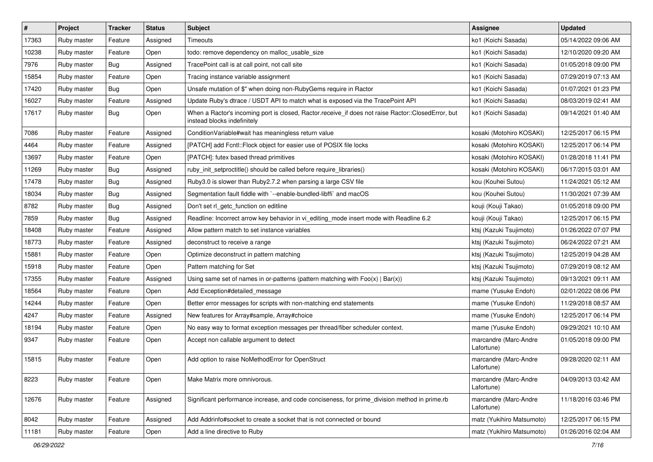| $\sharp$ | Project     | <b>Tracker</b> | <b>Status</b> | <b>Subject</b>                                                                                                                    | <b>Assignee</b>                     | <b>Updated</b>      |
|----------|-------------|----------------|---------------|-----------------------------------------------------------------------------------------------------------------------------------|-------------------------------------|---------------------|
| 17363    | Ruby master | Feature        | Assigned      | Timeouts                                                                                                                          | ko1 (Koichi Sasada)                 | 05/14/2022 09:06 AM |
| 10238    | Ruby master | Feature        | Open          | todo: remove dependency on malloc_usable_size                                                                                     | ko1 (Koichi Sasada)                 | 12/10/2020 09:20 AM |
| 7976     | Ruby master | Bug            | Assigned      | TracePoint call is at call point, not call site                                                                                   | ko1 (Koichi Sasada)                 | 01/05/2018 09:00 PM |
| 15854    | Ruby master | Feature        | Open          | Tracing instance variable assignment                                                                                              | ko1 (Koichi Sasada)                 | 07/29/2019 07:13 AM |
| 17420    | Ruby master | Bug            | Open          | Unsafe mutation of \$" when doing non-RubyGems require in Ractor                                                                  | ko1 (Koichi Sasada)                 | 01/07/2021 01:23 PM |
| 16027    | Ruby master | Feature        | Assigned      | Update Ruby's dtrace / USDT API to match what is exposed via the TracePoint API                                                   | ko1 (Koichi Sasada)                 | 08/03/2019 02:41 AM |
| 17617    | Ruby master | Bug            | Open          | When a Ractor's incoming port is closed, Ractor.receive_if does not raise Ractor::ClosedError, but<br>instead blocks indefinitely | ko1 (Koichi Sasada)                 | 09/14/2021 01:40 AM |
| 7086     | Ruby master | Feature        | Assigned      | Condition Variable#wait has meaningless return value                                                                              | kosaki (Motohiro KOSAKI)            | 12/25/2017 06:15 PM |
| 4464     | Ruby master | Feature        | Assigned      | [PATCH] add Fcntl::Flock object for easier use of POSIX file locks                                                                | kosaki (Motohiro KOSAKI)            | 12/25/2017 06:14 PM |
| 13697    | Ruby master | Feature        | Open          | [PATCH]: futex based thread primitives                                                                                            | kosaki (Motohiro KOSAKI)            | 01/28/2018 11:41 PM |
| 11269    | Ruby master | Bug            | Assigned      | ruby_init_setproctitle() should be called before require_libraries()                                                              | kosaki (Motohiro KOSAKI)            | 06/17/2015 03:01 AM |
| 17478    | Ruby master | Bug            | Assigned      | Ruby3.0 is slower than Ruby2.7.2 when parsing a large CSV file                                                                    | kou (Kouhei Sutou)                  | 11/24/2021 05:12 AM |
| 18034    | Ruby master | Bug            | Assigned      | Segmentation fault fiddle with `--enable-bundled-libffi` and macOS                                                                | kou (Kouhei Sutou)                  | 11/30/2021 07:39 AM |
| 8782     | Ruby master | Bug            | Assigned      | Don't set rl_getc_function on editline                                                                                            | kouji (Kouji Takao)                 | 01/05/2018 09:00 PM |
| 7859     | Ruby master | Bug            | Assigned      | Readline: Incorrect arrow key behavior in vi_editing_mode insert mode with Readline 6.2                                           | kouji (Kouji Takao)                 | 12/25/2017 06:15 PM |
| 18408    | Ruby master | Feature        | Assigned      | Allow pattern match to set instance variables                                                                                     | ktsj (Kazuki Tsujimoto)             | 01/26/2022 07:07 PM |
| 18773    | Ruby master | Feature        | Assigned      | deconstruct to receive a range                                                                                                    | ktsj (Kazuki Tsujimoto)             | 06/24/2022 07:21 AM |
| 15881    | Ruby master | Feature        | Open          | Optimize deconstruct in pattern matching                                                                                          | ktsj (Kazuki Tsujimoto)             | 12/25/2019 04:28 AM |
| 15918    | Ruby master | Feature        | Open          | Pattern matching for Set                                                                                                          | ktsj (Kazuki Tsujimoto)             | 07/29/2019 08:12 AM |
| 17355    | Ruby master | Feature        | Assigned      | Using same set of names in or-patterns (pattern matching with $Foo(x)   Bar(x)$ )                                                 | ktsj (Kazuki Tsujimoto)             | 09/13/2021 09:11 AM |
| 18564    | Ruby master | Feature        | Open          | Add Exception#detailed message                                                                                                    | mame (Yusuke Endoh)                 | 02/01/2022 08:06 PM |
| 14244    | Ruby master | Feature        | Open          | Better error messages for scripts with non-matching end statements                                                                | mame (Yusuke Endoh)                 | 11/29/2018 08:57 AM |
| 4247     | Ruby master | Feature        | Assigned      | New features for Array#sample, Array#choice                                                                                       | mame (Yusuke Endoh)                 | 12/25/2017 06:14 PM |
| 18194    | Ruby master | Feature        | Open          | No easy way to format exception messages per thread/fiber scheduler context.                                                      | mame (Yusuke Endoh)                 | 09/29/2021 10:10 AM |
| 9347     | Ruby master | Feature        | Open          | Accept non callable argument to detect                                                                                            | marcandre (Marc-Andre<br>Lafortune) | 01/05/2018 09:00 PM |
| 15815    | Ruby master | Feature        | Open          | Add option to raise NoMethodError for OpenStruct                                                                                  | marcandre (Marc-Andre<br>Lafortune) | 09/28/2020 02:11 AM |
| 8223     | Ruby master | Feature        | Open          | Make Matrix more omnivorous.                                                                                                      | marcandre (Marc-Andre<br>Lafortune) | 04/09/2013 03:42 AM |
| 12676    | Ruby master | Feature        | Assigned      | Significant performance increase, and code conciseness, for prime_division method in prime.rb                                     | marcandre (Marc-Andre<br>Lafortune) | 11/18/2016 03:46 PM |
| 8042     | Ruby master | Feature        | Assigned      | Add Addrinfo#socket to create a socket that is not connected or bound                                                             | matz (Yukihiro Matsumoto)           | 12/25/2017 06:15 PM |
| 11181    | Ruby master | Feature        | Open          | Add a line directive to Ruby                                                                                                      | matz (Yukihiro Matsumoto)           | 01/26/2016 02:04 AM |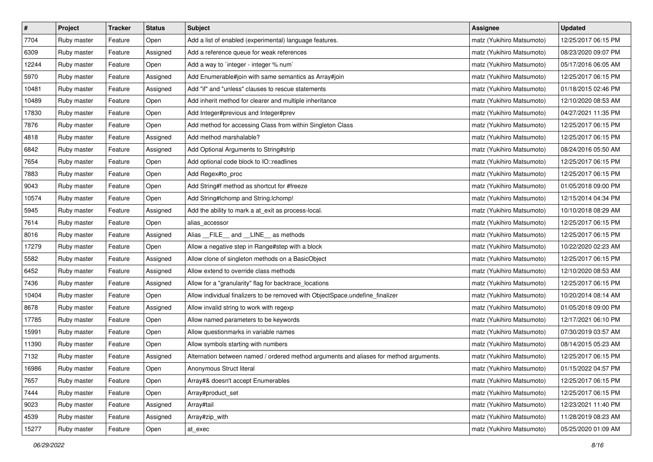| $\pmb{\#}$ | Project     | <b>Tracker</b> | <b>Status</b> | <b>Subject</b>                                                                         | Assignee                  | <b>Updated</b>      |
|------------|-------------|----------------|---------------|----------------------------------------------------------------------------------------|---------------------------|---------------------|
| 7704       | Ruby master | Feature        | Open          | Add a list of enabled (experimental) language features.                                | matz (Yukihiro Matsumoto) | 12/25/2017 06:15 PM |
| 6309       | Ruby master | Feature        | Assigned      | Add a reference queue for weak references                                              | matz (Yukihiro Matsumoto) | 08/23/2020 09:07 PM |
| 12244      | Ruby master | Feature        | Open          | Add a way to `integer - integer % num`                                                 | matz (Yukihiro Matsumoto) | 05/17/2016 06:05 AM |
| 5970       | Ruby master | Feature        | Assigned      | Add Enumerable#join with same semantics as Array#join                                  | matz (Yukihiro Matsumoto) | 12/25/2017 06:15 PM |
| 10481      | Ruby master | Feature        | Assigned      | Add "if" and "unless" clauses to rescue statements                                     | matz (Yukihiro Matsumoto) | 01/18/2015 02:46 PM |
| 10489      | Ruby master | Feature        | Open          | Add inherit method for clearer and multiple inheritance                                | matz (Yukihiro Matsumoto) | 12/10/2020 08:53 AM |
| 17830      | Ruby master | Feature        | Open          | Add Integer#previous and Integer#prev                                                  | matz (Yukihiro Matsumoto) | 04/27/2021 11:35 PM |
| 7876       | Ruby master | Feature        | Open          | Add method for accessing Class from within Singleton Class                             | matz (Yukihiro Matsumoto) | 12/25/2017 06:15 PM |
| 4818       | Ruby master | Feature        | Assigned      | Add method marshalable?                                                                | matz (Yukihiro Matsumoto) | 12/25/2017 06:15 PM |
| 6842       | Ruby master | Feature        | Assigned      | Add Optional Arguments to String#strip                                                 | matz (Yukihiro Matsumoto) | 08/24/2016 05:50 AM |
| 7654       | Ruby master | Feature        | Open          | Add optional code block to IO::readlines                                               | matz (Yukihiro Matsumoto) | 12/25/2017 06:15 PM |
| 7883       | Ruby master | Feature        | Open          | Add Regex#to_proc                                                                      | matz (Yukihiro Matsumoto) | 12/25/2017 06:15 PM |
| 9043       | Ruby master | Feature        | Open          | Add String#f method as shortcut for #freeze                                            | matz (Yukihiro Matsumoto) | 01/05/2018 09:00 PM |
| 10574      | Ruby master | Feature        | Open          | Add String#Ichomp and String.Ichomp!                                                   | matz (Yukihiro Matsumoto) | 12/15/2014 04:34 PM |
| 5945       | Ruby master | Feature        | Assigned      | Add the ability to mark a at_exit as process-local.                                    | matz (Yukihiro Matsumoto) | 10/10/2018 08:29 AM |
| 7614       | Ruby master | Feature        | Open          | alias_accessor                                                                         | matz (Yukihiro Matsumoto) | 12/25/2017 06:15 PM |
| 8016       | Ruby master | Feature        | Assigned      | Alias FILE and LINE as methods                                                         | matz (Yukihiro Matsumoto) | 12/25/2017 06:15 PM |
| 17279      | Ruby master | Feature        | Open          | Allow a negative step in Range#step with a block                                       | matz (Yukihiro Matsumoto) | 10/22/2020 02:23 AM |
| 5582       | Ruby master | Feature        | Assigned      | Allow clone of singleton methods on a BasicObject                                      | matz (Yukihiro Matsumoto) | 12/25/2017 06:15 PM |
| 6452       | Ruby master | Feature        | Assigned      | Allow extend to override class methods                                                 | matz (Yukihiro Matsumoto) | 12/10/2020 08:53 AM |
| 7436       | Ruby master | Feature        | Assigned      | Allow for a "granularity" flag for backtrace_locations                                 | matz (Yukihiro Matsumoto) | 12/25/2017 06:15 PM |
| 10404      | Ruby master | Feature        | Open          | Allow individual finalizers to be removed with ObjectSpace.undefine_finalizer          | matz (Yukihiro Matsumoto) | 10/20/2014 08:14 AM |
| 8678       | Ruby master | Feature        | Assigned      | Allow invalid string to work with regexp                                               | matz (Yukihiro Matsumoto) | 01/05/2018 09:00 PM |
| 17785      | Ruby master | Feature        | Open          | Allow named parameters to be keywords                                                  | matz (Yukihiro Matsumoto) | 12/17/2021 06:10 PM |
| 15991      | Ruby master | Feature        | Open          | Allow questionmarks in variable names                                                  | matz (Yukihiro Matsumoto) | 07/30/2019 03:57 AM |
| 11390      | Ruby master | Feature        | Open          | Allow symbols starting with numbers                                                    | matz (Yukihiro Matsumoto) | 08/14/2015 05:23 AM |
| 7132       | Ruby master | Feature        | Assigned      | Alternation between named / ordered method arguments and aliases for method arguments. | matz (Yukihiro Matsumoto) | 12/25/2017 06:15 PM |
| 16986      | Ruby master | Feature        | Open          | Anonymous Struct literal                                                               | matz (Yukihiro Matsumoto) | 01/15/2022 04:57 PM |
| 7657       | Ruby master | Feature        | Open          | Array#& doesn't accept Enumerables                                                     | matz (Yukihiro Matsumoto) | 12/25/2017 06:15 PM |
| 7444       | Ruby master | Feature        | Open          | Array#product_set                                                                      | matz (Yukihiro Matsumoto) | 12/25/2017 06:15 PM |
| 9023       | Ruby master | Feature        | Assigned      | Array#tail                                                                             | matz (Yukihiro Matsumoto) | 12/23/2021 11:40 PM |
| 4539       | Ruby master | Feature        | Assigned      | Array#zip_with                                                                         | matz (Yukihiro Matsumoto) | 11/28/2019 08:23 AM |
| 15277      | Ruby master | Feature        | Open          | at_exec                                                                                | matz (Yukihiro Matsumoto) | 05/25/2020 01:09 AM |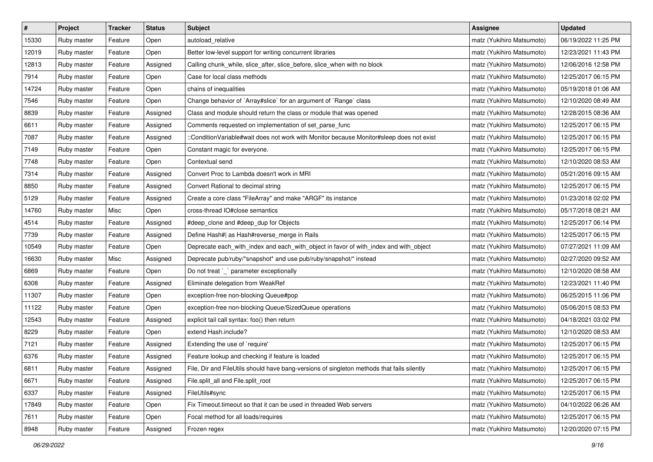| $\sharp$ | Project     | Tracker | <b>Status</b> | <b>Subject</b>                                                                             | <b>Assignee</b>           | <b>Updated</b>      |
|----------|-------------|---------|---------------|--------------------------------------------------------------------------------------------|---------------------------|---------------------|
| 15330    | Ruby master | Feature | Open          | autoload relative                                                                          | matz (Yukihiro Matsumoto) | 06/19/2022 11:25 PM |
| 12019    | Ruby master | Feature | Open          | Better low-level support for writing concurrent libraries                                  | matz (Yukihiro Matsumoto) | 12/23/2021 11:43 PM |
| 12813    | Ruby master | Feature | Assigned      | Calling chunk_while, slice_after, slice_before, slice_when with no block                   | matz (Yukihiro Matsumoto) | 12/06/2016 12:58 PM |
| 7914     | Ruby master | Feature | Open          | Case for local class methods                                                               | matz (Yukihiro Matsumoto) | 12/25/2017 06:15 PM |
| 14724    | Ruby master | Feature | Open          | chains of inequalities                                                                     | matz (Yukihiro Matsumoto) | 05/19/2018 01:06 AM |
| 7546     | Ruby master | Feature | Open          | Change behavior of `Array#slice` for an argument of `Range` class                          | matz (Yukihiro Matsumoto) | 12/10/2020 08:49 AM |
| 8839     | Ruby master | Feature | Assigned      | Class and module should return the class or module that was opened                         | matz (Yukihiro Matsumoto) | 12/28/2015 08:36 AM |
| 6611     | Ruby master | Feature | Assigned      | Comments requested on implementation of set_parse_func                                     | matz (Yukihiro Matsumoto) | 12/25/2017 06:15 PM |
| 7087     | Ruby master | Feature | Assigned      | ::ConditionVariable#wait does not work with Monitor because Monitor#sleep does not exist   | matz (Yukihiro Matsumoto) | 12/25/2017 06:15 PM |
| 7149     | Ruby master | Feature | Open          | Constant magic for everyone.                                                               | matz (Yukihiro Matsumoto) | 12/25/2017 06:15 PM |
| 7748     | Ruby master | Feature | Open          | Contextual send                                                                            | matz (Yukihiro Matsumoto) | 12/10/2020 08:53 AM |
| 7314     | Ruby master | Feature | Assigned      | Convert Proc to Lambda doesn't work in MRI                                                 | matz (Yukihiro Matsumoto) | 05/21/2016 09:15 AM |
| 8850     | Ruby master | Feature | Assigned      | Convert Rational to decimal string                                                         | matz (Yukihiro Matsumoto) | 12/25/2017 06:15 PM |
| 5129     | Ruby master | Feature | Assigned      | Create a core class "FileArray" and make "ARGF" its instance                               | matz (Yukihiro Matsumoto) | 01/23/2018 02:02 PM |
| 14760    | Ruby master | Misc    | Open          | cross-thread IO#close semantics                                                            | matz (Yukihiro Matsumoto) | 05/17/2018 08:21 AM |
| 4514     | Ruby master | Feature | Assigned      | #deep_clone and #deep_dup for Objects                                                      | matz (Yukihiro Matsumoto) | 12/25/2017 06:14 PM |
| 7739     | Ruby master | Feature | Assigned      | Define Hash#  as Hash#reverse_merge in Rails                                               | matz (Yukihiro Matsumoto) | 12/25/2017 06:15 PM |
| 10549    | Ruby master | Feature | Open          | Deprecate each_with_index and each_with_object in favor of with_index and with_object      | matz (Yukihiro Matsumoto) | 07/27/2021 11:09 AM |
| 16630    | Ruby master | Misc    | Assigned      | Deprecate pub/ruby/*snapshot* and use pub/ruby/snapshot/* instead                          | matz (Yukihiro Matsumoto) | 02/27/2020 09:52 AM |
| 6869     | Ruby master | Feature | Open          | Do not treat `_` parameter exceptionally                                                   | matz (Yukihiro Matsumoto) | 12/10/2020 08:58 AM |
| 6308     | Ruby master | Feature | Assigned      | Eliminate delegation from WeakRef                                                          | matz (Yukihiro Matsumoto) | 12/23/2021 11:40 PM |
| 11307    | Ruby master | Feature | Open          | exception-free non-blocking Queue#pop                                                      | matz (Yukihiro Matsumoto) | 06/25/2015 11:06 PM |
| 11122    | Ruby master | Feature | Open          | exception-free non-blocking Queue/SizedQueue operations                                    | matz (Yukihiro Matsumoto) | 05/06/2015 08:53 PM |
| 12543    | Ruby master | Feature | Assigned      | explicit tail call syntax: foo() then return                                               | matz (Yukihiro Matsumoto) | 04/18/2021 03:02 PM |
| 8229     | Ruby master | Feature | Open          | extend Hash.include?                                                                       | matz (Yukihiro Matsumoto) | 12/10/2020 08:53 AM |
| 7121     | Ruby master | Feature | Assigned      | Extending the use of `require'                                                             | matz (Yukihiro Matsumoto) | 12/25/2017 06:15 PM |
| 6376     | Ruby master | Feature | Assigned      | Feature lookup and checking if feature is loaded                                           | matz (Yukihiro Matsumoto) | 12/25/2017 06:15 PM |
| 6811     | Ruby master | Feature | Assigned      | File, Dir and FileUtils should have bang-versions of singleton methods that fails silently | matz (Yukihiro Matsumoto) | 12/25/2017 06:15 PM |
| 6671     | Ruby master | Feature | Assigned      | File.split_all and File.split_root                                                         | matz (Yukihiro Matsumoto) | 12/25/2017 06:15 PM |
| 6337     | Ruby master | Feature | Assigned      | FileUtils#sync                                                                             | matz (Yukihiro Matsumoto) | 12/25/2017 06:15 PM |
| 17849    | Ruby master | Feature | Open          | Fix Timeout timeout so that it can be used in threaded Web servers                         | matz (Yukihiro Matsumoto) | 04/10/2022 06:26 AM |
| 7611     | Ruby master | Feature | Open          | Focal method for all loads/requires                                                        | matz (Yukihiro Matsumoto) | 12/25/2017 06:15 PM |
| 8948     | Ruby master | Feature | Assigned      | Frozen regex                                                                               | matz (Yukihiro Matsumoto) | 12/20/2020 07:15 PM |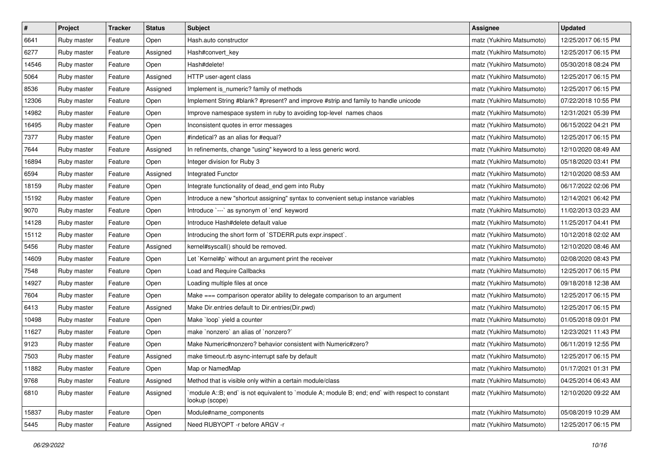| $\pmb{\#}$ | Project     | <b>Tracker</b> | <b>Status</b> | <b>Subject</b>                                                                                                   | Assignee                  | <b>Updated</b>      |
|------------|-------------|----------------|---------------|------------------------------------------------------------------------------------------------------------------|---------------------------|---------------------|
| 6641       | Ruby master | Feature        | Open          | Hash.auto constructor                                                                                            | matz (Yukihiro Matsumoto) | 12/25/2017 06:15 PM |
| 6277       | Ruby master | Feature        | Assigned      | Hash#convert_key                                                                                                 | matz (Yukihiro Matsumoto) | 12/25/2017 06:15 PM |
| 14546      | Ruby master | Feature        | Open          | Hash#delete!                                                                                                     | matz (Yukihiro Matsumoto) | 05/30/2018 08:24 PM |
| 5064       | Ruby master | Feature        | Assigned      | HTTP user-agent class                                                                                            | matz (Yukihiro Matsumoto) | 12/25/2017 06:15 PM |
| 8536       | Ruby master | Feature        | Assigned      | Implement is_numeric? family of methods                                                                          | matz (Yukihiro Matsumoto) | 12/25/2017 06:15 PM |
| 12306      | Ruby master | Feature        | Open          | Implement String #blank? #present? and improve #strip and family to handle unicode                               | matz (Yukihiro Matsumoto) | 07/22/2018 10:55 PM |
| 14982      | Ruby master | Feature        | Open          | Improve namespace system in ruby to avoiding top-level names chaos                                               | matz (Yukihiro Matsumoto) | 12/31/2021 05:39 PM |
| 16495      | Ruby master | Feature        | Open          | Inconsistent quotes in error messages                                                                            | matz (Yukihiro Matsumoto) | 06/15/2022 04:21 PM |
| 7377       | Ruby master | Feature        | Open          | #indetical? as an alias for #equal?                                                                              | matz (Yukihiro Matsumoto) | 12/25/2017 06:15 PM |
| 7644       | Ruby master | Feature        | Assigned      | In refinements, change "using" keyword to a less generic word.                                                   | matz (Yukihiro Matsumoto) | 12/10/2020 08:49 AM |
| 16894      | Ruby master | Feature        | Open          | Integer division for Ruby 3                                                                                      | matz (Yukihiro Matsumoto) | 05/18/2020 03:41 PM |
| 6594       | Ruby master | Feature        | Assigned      | Integrated Functor                                                                                               | matz (Yukihiro Matsumoto) | 12/10/2020 08:53 AM |
| 18159      | Ruby master | Feature        | Open          | Integrate functionality of dead_end gem into Ruby                                                                | matz (Yukihiro Matsumoto) | 06/17/2022 02:06 PM |
| 15192      | Ruby master | Feature        | Open          | Introduce a new "shortcut assigning" syntax to convenient setup instance variables                               | matz (Yukihiro Matsumoto) | 12/14/2021 06:42 PM |
| 9070       | Ruby master | Feature        | Open          | Introduce `---` as synonym of `end` keyword                                                                      | matz (Yukihiro Matsumoto) | 11/02/2013 03:23 AM |
| 14128      | Ruby master | Feature        | Open          | Introduce Hash#delete default value                                                                              | matz (Yukihiro Matsumoto) | 11/25/2017 04:41 PM |
| 15112      | Ruby master | Feature        | Open          | Introducing the short form of `STDERR.puts expr.inspect`.                                                        | matz (Yukihiro Matsumoto) | 10/12/2018 02:02 AM |
| 5456       | Ruby master | Feature        | Assigned      | kernel#syscall() should be removed.                                                                              | matz (Yukihiro Matsumoto) | 12/10/2020 08:46 AM |
| 14609      | Ruby master | Feature        | Open          | Let `Kernel#p` without an argument print the receiver                                                            | matz (Yukihiro Matsumoto) | 02/08/2020 08:43 PM |
| 7548       | Ruby master | Feature        | Open          | Load and Require Callbacks                                                                                       | matz (Yukihiro Matsumoto) | 12/25/2017 06:15 PM |
| 14927      | Ruby master | Feature        | Open          | Loading multiple files at once                                                                                   | matz (Yukihiro Matsumoto) | 09/18/2018 12:38 AM |
| 7604       | Ruby master | Feature        | Open          | Make === comparison operator ability to delegate comparison to an argument                                       | matz (Yukihiro Matsumoto) | 12/25/2017 06:15 PM |
| 6413       | Ruby master | Feature        | Assigned      | Make Dir.entries default to Dir.entries(Dir.pwd)                                                                 | matz (Yukihiro Matsumoto) | 12/25/2017 06:15 PM |
| 10498      | Ruby master | Feature        | Open          | Make `loop` yield a counter                                                                                      | matz (Yukihiro Matsumoto) | 01/05/2018 09:01 PM |
| 11627      | Ruby master | Feature        | Open          | make `nonzero` an alias of `nonzero?`                                                                            | matz (Yukihiro Matsumoto) | 12/23/2021 11:43 PM |
| 9123       | Ruby master | Feature        | Open          | Make Numeric#nonzero? behavior consistent with Numeric#zero?                                                     | matz (Yukihiro Matsumoto) | 06/11/2019 12:55 PM |
| 7503       | Ruby master | Feature        | Assigned      | make timeout rb async-interrupt safe by default                                                                  | matz (Yukihiro Matsumoto) | 12/25/2017 06:15 PM |
| 11882      | Ruby master | Feature        | Open          | Map or NamedMap                                                                                                  | matz (Yukihiro Matsumoto) | 01/17/2021 01:31 PM |
| 9768       | Ruby master | Feature        | Assigned      | Method that is visible only within a certain module/class                                                        | matz (Yukihiro Matsumoto) | 04/25/2014 06:43 AM |
| 6810       | Ruby master | Feature        | Assigned      | module A::B; end` is not equivalent to `module A; module B; end; end` with respect to constant<br>lookup (scope) | matz (Yukihiro Matsumoto) | 12/10/2020 09:22 AM |
| 15837      | Ruby master | Feature        | Open          | Module#name_components                                                                                           | matz (Yukihiro Matsumoto) | 05/08/2019 10:29 AM |
| 5445       | Ruby master | Feature        | Assigned      | Need RUBYOPT - r before ARGV - r                                                                                 | matz (Yukihiro Matsumoto) | 12/25/2017 06:15 PM |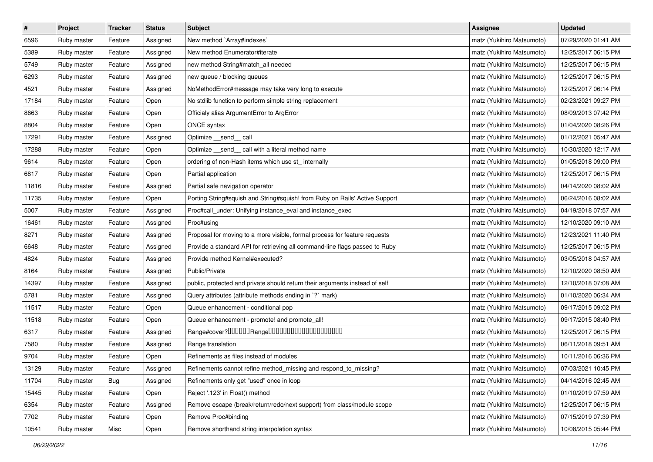| $\vert$ # | Project     | <b>Tracker</b> | <b>Status</b> | <b>Subject</b>                                                              | <b>Assignee</b>           | <b>Updated</b>      |
|-----------|-------------|----------------|---------------|-----------------------------------------------------------------------------|---------------------------|---------------------|
| 6596      | Ruby master | Feature        | Assigned      | New method `Array#indexes`                                                  | matz (Yukihiro Matsumoto) | 07/29/2020 01:41 AM |
| 5389      | Ruby master | Feature        | Assigned      | New method Enumerator#iterate                                               | matz (Yukihiro Matsumoto) | 12/25/2017 06:15 PM |
| 5749      | Ruby master | Feature        | Assigned      | new method String#match_all needed                                          | matz (Yukihiro Matsumoto) | 12/25/2017 06:15 PM |
| 6293      | Ruby master | Feature        | Assigned      | new queue / blocking queues                                                 | matz (Yukihiro Matsumoto) | 12/25/2017 06:15 PM |
| 4521      | Ruby master | Feature        | Assigned      | NoMethodError#message may take very long to execute                         | matz (Yukihiro Matsumoto) | 12/25/2017 06:14 PM |
| 17184     | Ruby master | Feature        | Open          | No stdlib function to perform simple string replacement                     | matz (Yukihiro Matsumoto) | 02/23/2021 09:27 PM |
| 8663      | Ruby master | Feature        | Open          | Officialy alias ArgumentError to ArgError                                   | matz (Yukihiro Matsumoto) | 08/09/2013 07:42 PM |
| 8804      | Ruby master | Feature        | Open          | ONCE syntax                                                                 | matz (Yukihiro Matsumoto) | 01/04/2020 08:26 PM |
| 17291     | Ruby master | Feature        | Assigned      | Optimize __send__ call                                                      | matz (Yukihiro Matsumoto) | 01/12/2021 05:47 AM |
| 17288     | Ruby master | Feature        | Open          | Optimize _send_ call with a literal method name                             | matz (Yukihiro Matsumoto) | 10/30/2020 12:17 AM |
| 9614      | Ruby master | Feature        | Open          | ordering of non-Hash items which use st_ internally                         | matz (Yukihiro Matsumoto) | 01/05/2018 09:00 PM |
| 6817      | Ruby master | Feature        | Open          | Partial application                                                         | matz (Yukihiro Matsumoto) | 12/25/2017 06:15 PM |
| 11816     | Ruby master | Feature        | Assigned      | Partial safe navigation operator                                            | matz (Yukihiro Matsumoto) | 04/14/2020 08:02 AM |
| 11735     | Ruby master | Feature        | Open          | Porting String#squish and String#squish! from Ruby on Rails' Active Support | matz (Yukihiro Matsumoto) | 06/24/2016 08:02 AM |
| 5007      | Ruby master | Feature        | Assigned      | Proc#call_under: Unifying instance_eval and instance_exec                   | matz (Yukihiro Matsumoto) | 04/19/2018 07:57 AM |
| 16461     | Ruby master | Feature        | Assigned      | Proc#using                                                                  | matz (Yukihiro Matsumoto) | 12/10/2020 09:10 AM |
| 8271      | Ruby master | Feature        | Assigned      | Proposal for moving to a more visible, formal process for feature requests  | matz (Yukihiro Matsumoto) | 12/23/2021 11:40 PM |
| 6648      | Ruby master | Feature        | Assigned      | Provide a standard API for retrieving all command-line flags passed to Ruby | matz (Yukihiro Matsumoto) | 12/25/2017 06:15 PM |
| 4824      | Ruby master | Feature        | Assigned      | Provide method Kernel#executed?                                             | matz (Yukihiro Matsumoto) | 03/05/2018 04:57 AM |
| 8164      | Ruby master | Feature        | Assigned      | Public/Private                                                              | matz (Yukihiro Matsumoto) | 12/10/2020 08:50 AM |
| 14397     | Ruby master | Feature        | Assigned      | public, protected and private should return their arguments instead of self | matz (Yukihiro Matsumoto) | 12/10/2018 07:08 AM |
| 5781      | Ruby master | Feature        | Assigned      | Query attributes (attribute methods ending in `?` mark)                     | matz (Yukihiro Matsumoto) | 01/10/2020 06:34 AM |
| 11517     | Ruby master | Feature        | Open          | Queue enhancement - conditional pop                                         | matz (Yukihiro Matsumoto) | 09/17/2015 09:02 PM |
| 11518     | Ruby master | Feature        | Open          | Queue enhancement - promote! and promote_all!                               | matz (Yukihiro Matsumoto) | 09/17/2015 08:40 PM |
| 6317      | Ruby master | Feature        | Assigned      |                                                                             | matz (Yukihiro Matsumoto) | 12/25/2017 06:15 PM |
| 7580      | Ruby master | Feature        | Assigned      | Range translation                                                           | matz (Yukihiro Matsumoto) | 06/11/2018 09:51 AM |
| 9704      | Ruby master | Feature        | Open          | Refinements as files instead of modules                                     | matz (Yukihiro Matsumoto) | 10/11/2016 06:36 PM |
| 13129     | Ruby master | Feature        | Assigned      | Refinements cannot refine method_missing and respond_to_missing?            | matz (Yukihiro Matsumoto) | 07/03/2021 10:45 PM |
| 11704     | Ruby master | Bug            | Assigned      | Refinements only get "used" once in loop                                    | matz (Yukihiro Matsumoto) | 04/14/2016 02:45 AM |
| 15445     | Ruby master | Feature        | Open          | Reject '.123' in Float() method                                             | matz (Yukihiro Matsumoto) | 01/10/2019 07:59 AM |
| 6354      | Ruby master | Feature        | Assigned      | Remove escape (break/return/redo/next support) from class/module scope      | matz (Yukihiro Matsumoto) | 12/25/2017 06:15 PM |
| 7702      | Ruby master | Feature        | Open          | Remove Proc#binding                                                         | matz (Yukihiro Matsumoto) | 07/15/2019 07:39 PM |
| 10541     | Ruby master | Misc           | Open          | Remove shorthand string interpolation syntax                                | matz (Yukihiro Matsumoto) | 10/08/2015 05:44 PM |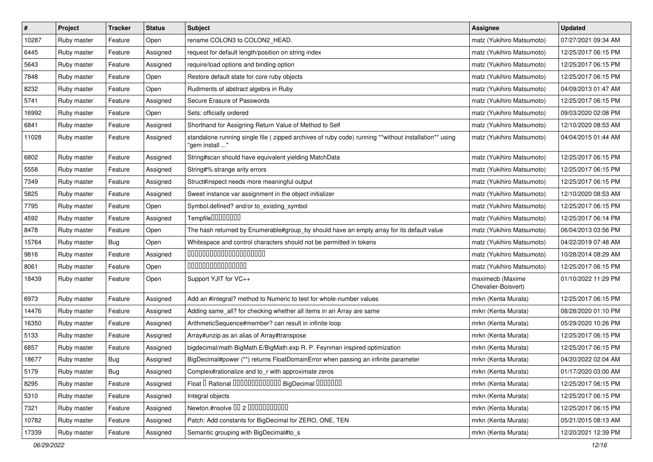| $\sharp$ | Project     | <b>Tracker</b> | <b>Status</b> | Subject                                                                                                                | <b>Assignee</b>                         | <b>Updated</b>      |
|----------|-------------|----------------|---------------|------------------------------------------------------------------------------------------------------------------------|-----------------------------------------|---------------------|
| 10287    | Ruby master | Feature        | Open          | rename COLON3 to COLON2_HEAD.                                                                                          | matz (Yukihiro Matsumoto)               | 07/27/2021 09:34 AM |
| 6445     | Ruby master | Feature        | Assigned      | request for default length/position on string index                                                                    | matz (Yukihiro Matsumoto)               | 12/25/2017 06:15 PM |
| 5643     | Ruby master | Feature        | Assigned      | require/load options and binding option                                                                                | matz (Yukihiro Matsumoto)               | 12/25/2017 06:15 PM |
| 7848     | Ruby master | Feature        | Open          | Restore default state for core ruby objects                                                                            | matz (Yukihiro Matsumoto)               | 12/25/2017 06:15 PM |
| 8232     | Ruby master | Feature        | Open          | Rudiments of abstract algebra in Ruby                                                                                  | matz (Yukihiro Matsumoto)               | 04/09/2013 01:47 AM |
| 5741     | Ruby master | Feature        | Assigned      | Secure Erasure of Passwords                                                                                            | matz (Yukihiro Matsumoto)               | 12/25/2017 06:15 PM |
| 16992    | Ruby master | Feature        | Open          | Sets: officially ordered                                                                                               | matz (Yukihiro Matsumoto)               | 09/03/2020 02:08 PM |
| 6841     | Ruby master | Feature        | Assigned      | Shorthand for Assigning Return Value of Method to Self                                                                 | matz (Yukihiro Matsumoto)               | 12/10/2020 08:53 AM |
| 11028    | Ruby master | Feature        | Assigned      | standalone running single file (zipped archives of ruby code) running **without installation** using<br>"gem install " | matz (Yukihiro Matsumoto)               | 04/04/2015 01:44 AM |
| 6802     | Ruby master | Feature        | Assigned      | String#scan should have equivalent yielding MatchData                                                                  | matz (Yukihiro Matsumoto)               | 12/25/2017 06:15 PM |
| 5558     | Ruby master | Feature        | Assigned      | String#% strange arity errors                                                                                          | matz (Yukihiro Matsumoto)               | 12/25/2017 06:15 PM |
| 7349     | Ruby master | Feature        | Assigned      | Struct#inspect needs more meaningful output                                                                            | matz (Yukihiro Matsumoto)               | 12/25/2017 06:15 PM |
| 5825     | Ruby master | Feature        | Assigned      | Sweet instance var assignment in the object initializer                                                                | matz (Yukihiro Matsumoto)               | 12/10/2020 08:53 AM |
| 7795     | Ruby master | Feature        | Open          | Symbol.defined? and/or to_existing_symbol                                                                              | matz (Yukihiro Matsumoto)               | 12/25/2017 06:15 PM |
| 4592     | Ruby master | Feature        | Assigned      | Tempfile00000000                                                                                                       | matz (Yukihiro Matsumoto)               | 12/25/2017 06:14 PM |
| 8478     | Ruby master | Feature        | Open          | The hash returned by Enumerable#group_by should have an empty array for its default value                              | matz (Yukihiro Matsumoto)               | 06/04/2013 03:56 PM |
| 15764    | Ruby master | Bug            | Open          | Whitespace and control characters should not be permitted in tokens                                                    | matz (Yukihiro Matsumoto)               | 04/22/2019 07:48 AM |
| 9816     | Ruby master | Feature        | Assigned      | 00000000000000000000                                                                                                   | matz (Yukihiro Matsumoto)               | 10/28/2014 08:29 AM |
| 8061     | Ruby master | Feature        | Open          | 000000000000000                                                                                                        | matz (Yukihiro Matsumoto)               | 12/25/2017 06:15 PM |
| 18439    | Ruby master | Feature        | Open          | Support YJIT for VC++                                                                                                  | maximecb (Maxime<br>Chevalier-Boisvert) | 01/10/2022 11:29 PM |
| 6973     | Ruby master | Feature        | Assigned      | Add an #integral? method to Numeric to test for whole-number values                                                    | mrkn (Kenta Murata)                     | 12/25/2017 06:15 PM |
| 14476    | Ruby master | Feature        | Assigned      | Adding same_all? for checking whether all items in an Array are same                                                   | mrkn (Kenta Murata)                     | 08/28/2020 01:10 PM |
| 16350    | Ruby master | Feature        | Assigned      | ArithmeticSequence#member? can result in infinite loop                                                                 | mrkn (Kenta Murata)                     | 05/29/2020 10:26 PM |
| 5133     | Ruby master | Feature        | Assigned      | Array#unzip as an alias of Array#transpose                                                                             | mrkn (Kenta Murata)                     | 12/25/2017 06:15 PM |
| 6857     | Ruby master | Feature        | Assigned      | bigdecimal/math BigMath.E/BigMath.exp R. P. Feynman inspired optimization                                              | mrkn (Kenta Murata)                     | 12/25/2017 06:15 PM |
| 18677    | Ruby master | Bug            | Assigned      | BigDecimal#power (**) returns FloatDomainError when passing an infinite parameter                                      | mrkn (Kenta Murata)                     | 04/20/2022 02:04 AM |
| 5179     | Ruby master | <b>Bug</b>     | Assigned      | Complex#rationalize and to_r with approximate zeros                                                                    | mrkn (Kenta Murata)                     | 01/17/2020 03:00 AM |
| 8295     | Ruby master | Feature        | Assigned      | Float I Rational 0000000000000 BigDecimal 0000000                                                                      | mrkn (Kenta Murata)                     | 12/25/2017 06:15 PM |
| 5310     | Ruby master | Feature        | Assigned      | Integral objects                                                                                                       | mrkn (Kenta Murata)                     | 12/25/2017 06:15 PM |
| 7321     | Ruby master | Feature        | Assigned      | Newton.#nsolve 00 2 0000000000                                                                                         | mrkn (Kenta Murata)                     | 12/25/2017 06:15 PM |
| 10782    | Ruby master | Feature        | Assigned      | Patch: Add constants for BigDecimal for ZERO, ONE, TEN                                                                 | mrkn (Kenta Murata)                     | 05/21/2015 08:13 AM |
| 17339    | Ruby master | Feature        | Assigned      | Semantic grouping with BigDecimal#to_s                                                                                 | mrkn (Kenta Murata)                     | 12/20/2021 12:39 PM |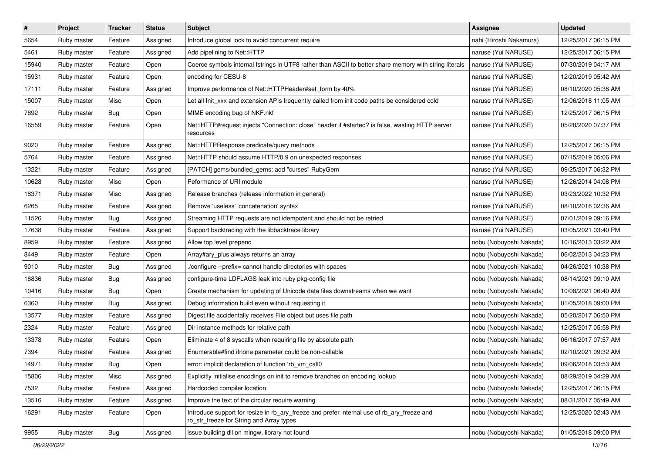| $\#$  | Project     | <b>Tracker</b> | <b>Status</b> | Subject                                                                                                                                | <b>Assignee</b>         | <b>Updated</b>      |
|-------|-------------|----------------|---------------|----------------------------------------------------------------------------------------------------------------------------------------|-------------------------|---------------------|
| 5654  | Ruby master | Feature        | Assigned      | Introduce global lock to avoid concurrent require                                                                                      | nahi (Hiroshi Nakamura) | 12/25/2017 06:15 PM |
| 5461  | Ruby master | Feature        | Assigned      | Add pipelining to Net::HTTP                                                                                                            | naruse (Yui NARUSE)     | 12/25/2017 06:15 PM |
| 15940 | Ruby master | Feature        | Open          | Coerce symbols internal fstrings in UTF8 rather than ASCII to better share memory with string literals                                 | naruse (Yui NARUSE)     | 07/30/2019 04:17 AM |
| 15931 | Ruby master | Feature        | Open          | encoding for CESU-8                                                                                                                    | naruse (Yui NARUSE)     | 12/20/2019 05:42 AM |
| 17111 | Ruby master | Feature        | Assigned      | Improve performance of Net::HTTPHeader#set_form by 40%                                                                                 | naruse (Yui NARUSE)     | 08/10/2020 05:36 AM |
| 15007 | Ruby master | Misc           | Open          | Let all Init_xxx and extension APIs frequently called from init code paths be considered cold                                          | naruse (Yui NARUSE)     | 12/06/2018 11:05 AM |
| 7892  | Ruby master | Bug            | Open          | MIME encoding bug of NKF.nkf                                                                                                           | naruse (Yui NARUSE)     | 12/25/2017 06:15 PM |
| 16559 | Ruby master | Feature        | Open          | Net::HTTP#request injects "Connection: close" header if #started? is false, wasting HTTP server<br>resources                           | naruse (Yui NARUSE)     | 05/28/2020 07:37 PM |
| 9020  | Ruby master | Feature        | Assigned      | Net::HTTPResponse predicate/query methods                                                                                              | naruse (Yui NARUSE)     | 12/25/2017 06:15 PM |
| 5764  | Ruby master | Feature        | Assigned      | Net::HTTP should assume HTTP/0.9 on unexpected responses                                                                               | naruse (Yui NARUSE)     | 07/15/2019 05:06 PM |
| 13221 | Ruby master | Feature        | Assigned      | [PATCH] gems/bundled_gems: add "curses" RubyGem                                                                                        | naruse (Yui NARUSE)     | 09/25/2017 06:32 PM |
| 10628 | Ruby master | Misc           | Open          | Peformance of URI module                                                                                                               | naruse (Yui NARUSE)     | 12/26/2014 04:08 PM |
| 18371 | Ruby master | Misc           | Assigned      | Release branches (release information in general)                                                                                      | naruse (Yui NARUSE)     | 03/23/2022 10:32 PM |
| 6265  | Ruby master | Feature        | Assigned      | Remove 'useless' 'concatenation' syntax                                                                                                | naruse (Yui NARUSE)     | 08/10/2016 02:36 AM |
| 11526 | Ruby master | Bug            | Assigned      | Streaming HTTP requests are not idempotent and should not be retried                                                                   | naruse (Yui NARUSE)     | 07/01/2019 09:16 PM |
| 17638 | Ruby master | Feature        | Assigned      | Support backtracing with the libbacktrace library                                                                                      | naruse (Yui NARUSE)     | 03/05/2021 03:40 PM |
| 8959  | Ruby master | Feature        | Assigned      | Allow top level prepend                                                                                                                | nobu (Nobuyoshi Nakada) | 10/16/2013 03:22 AM |
| 8449  | Ruby master | Feature        | Open          | Array#ary_plus always returns an array                                                                                                 | nobu (Nobuyoshi Nakada) | 06/02/2013 04:23 PM |
| 9010  | Ruby master | Bug            | Assigned      | ./configure --prefix= cannot handle directories with spaces                                                                            | nobu (Nobuyoshi Nakada) | 04/26/2021 10:38 PM |
| 16836 | Ruby master | Bug            | Assigned      | configure-time LDFLAGS leak into ruby pkg-config file                                                                                  | nobu (Nobuyoshi Nakada) | 08/14/2021 09:10 AM |
| 10416 | Ruby master | Bug            | Open          | Create mechanism for updating of Unicode data files downstreams when we want                                                           | nobu (Nobuyoshi Nakada) | 10/08/2021 06:40 AM |
| 6360  | Ruby master | <b>Bug</b>     | Assigned      | Debug information build even without requesting it                                                                                     | nobu (Nobuyoshi Nakada) | 01/05/2018 09:00 PM |
| 13577 | Ruby master | Feature        | Assigned      | Digest file accidentally receives File object but uses file path                                                                       | nobu (Nobuyoshi Nakada) | 05/20/2017 06:50 PM |
| 2324  | Ruby master | Feature        | Assigned      | Dir instance methods for relative path                                                                                                 | nobu (Nobuyoshi Nakada) | 12/25/2017 05:58 PM |
| 13378 | Ruby master | Feature        | Open          | Eliminate 4 of 8 syscalls when requiring file by absolute path                                                                         | nobu (Nobuyoshi Nakada) | 06/16/2017 07:57 AM |
| 7394  | Ruby master | Feature        | Assigned      | Enumerable#find ifnone parameter could be non-callable                                                                                 | nobu (Nobuyoshi Nakada) | 02/10/2021 09:32 AM |
| 14971 | Ruby master | <b>Bug</b>     | Open          | error: implicit declaration of function 'rb_vm_call0                                                                                   | nobu (Nobuyoshi Nakada) | 09/06/2018 03:53 AM |
| 15806 | Ruby master | Misc           | Assigned      | Explicitly initialise encodings on init to remove branches on encoding lookup                                                          | nobu (Nobuyoshi Nakada) | 08/29/2019 04:29 AM |
| 7532  | Ruby master | Feature        | Assigned      | Hardcoded compiler location                                                                                                            | nobu (Nobuyoshi Nakada) | 12/25/2017 06:15 PM |
| 13516 | Ruby master | Feature        | Assigned      | Improve the text of the circular require warning                                                                                       | nobu (Nobuyoshi Nakada) | 08/31/2017 05:49 AM |
| 16291 | Ruby master | Feature        | Open          | Introduce support for resize in rb_ary_freeze and prefer internal use of rb_ary_freeze and<br>rb_str_freeze for String and Array types | nobu (Nobuyoshi Nakada) | 12/25/2020 02:43 AM |
| 9955  | Ruby master | Bug            | Assigned      | issue building dll on mingw, library not found                                                                                         | nobu (Nobuyoshi Nakada) | 01/05/2018 09:00 PM |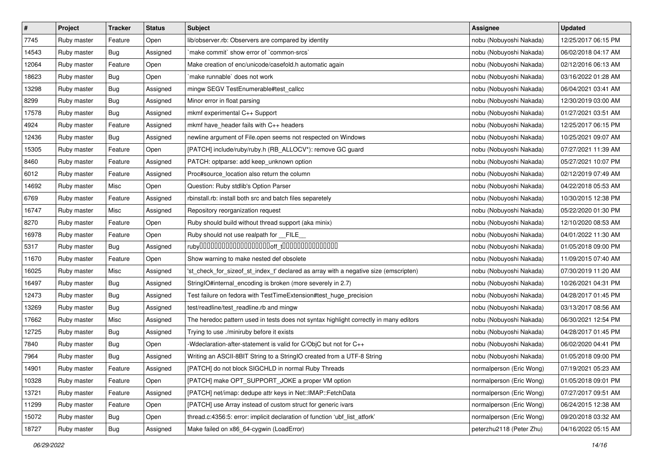| $\pmb{\#}$ | Project     | <b>Tracker</b> | <b>Status</b> | <b>Subject</b>                                                                        | Assignee                 | <b>Updated</b>      |
|------------|-------------|----------------|---------------|---------------------------------------------------------------------------------------|--------------------------|---------------------|
| 7745       | Ruby master | Feature        | Open          | lib/observer.rb: Observers are compared by identity                                   | nobu (Nobuyoshi Nakada)  | 12/25/2017 06:15 PM |
| 14543      | Ruby master | Bug            | Assigned      | `make commit` show error of `common-srcs`                                             | nobu (Nobuyoshi Nakada)  | 06/02/2018 04:17 AM |
| 12064      | Ruby master | Feature        | Open          | Make creation of enc/unicode/casefold.h automatic again                               | nobu (Nobuyoshi Nakada)  | 02/12/2016 06:13 AM |
| 18623      | Ruby master | Bug            | Open          | make runnable' does not work                                                          | nobu (Nobuyoshi Nakada)  | 03/16/2022 01:28 AM |
| 13298      | Ruby master | Bug            | Assigned      | mingw SEGV TestEnumerable#test_callcc                                                 | nobu (Nobuyoshi Nakada)  | 06/04/2021 03:41 AM |
| 8299       | Ruby master | <b>Bug</b>     | Assigned      | Minor error in float parsing                                                          | nobu (Nobuyoshi Nakada)  | 12/30/2019 03:00 AM |
| 17578      | Ruby master | Bug            | Assigned      | mkmf experimental C++ Support                                                         | nobu (Nobuyoshi Nakada)  | 01/27/2021 03:51 AM |
| 4924       | Ruby master | Feature        | Assigned      | mkmf have_header fails with C++ headers                                               | nobu (Nobuyoshi Nakada)  | 12/25/2017 06:15 PM |
| 12436      | Ruby master | Bug            | Assigned      | newline argument of File.open seems not respected on Windows                          | nobu (Nobuyoshi Nakada)  | 10/25/2021 09:07 AM |
| 15305      | Ruby master | Feature        | Open          | [PATCH] include/ruby/ruby.h (RB_ALLOCV*): remove GC guard                             | nobu (Nobuyoshi Nakada)  | 07/27/2021 11:39 AM |
| 8460       | Ruby master | Feature        | Assigned      | PATCH: optparse: add keep_unknown option                                              | nobu (Nobuyoshi Nakada)  | 05/27/2021 10:07 PM |
| 6012       | Ruby master | Feature        | Assigned      | Proc#source_location also return the column                                           | nobu (Nobuyoshi Nakada)  | 02/12/2019 07:49 AM |
| 14692      | Ruby master | Misc           | Open          | Question: Ruby stdlib's Option Parser                                                 | nobu (Nobuyoshi Nakada)  | 04/22/2018 05:53 AM |
| 6769       | Ruby master | Feature        | Assigned      | rbinstall.rb: install both src and batch files separetely                             | nobu (Nobuyoshi Nakada)  | 10/30/2015 12:38 PM |
| 16747      | Ruby master | Misc           | Assigned      | Repository reorganization request                                                     | nobu (Nobuyoshi Nakada)  | 05/22/2020 01:30 PM |
| 8270       | Ruby master | Feature        | Open          | Ruby should build without thread support (aka minix)                                  | nobu (Nobuyoshi Nakada)  | 12/10/2020 08:53 AM |
| 16978      | Ruby master | Feature        | Open          | Ruby should not use realpath for FILE                                                 | nobu (Nobuyoshi Nakada)  | 04/01/2022 11:30 AM |
| 5317       | Ruby master | Bug            | Assigned      |                                                                                       | nobu (Nobuyoshi Nakada)  | 01/05/2018 09:00 PM |
| 11670      | Ruby master | Feature        | Open          | Show warning to make nested def obsolete                                              | nobu (Nobuyoshi Nakada)  | 11/09/2015 07:40 AM |
| 16025      | Ruby master | Misc           | Assigned      | 'st_check_for_sizeof_st_index_t' declared as array with a negative size (emscripten)  | nobu (Nobuyoshi Nakada)  | 07/30/2019 11:20 AM |
| 16497      | Ruby master | Bug            | Assigned      | StringIO#internal_encoding is broken (more severely in 2.7)                           | nobu (Nobuyoshi Nakada)  | 10/26/2021 04:31 PM |
| 12473      | Ruby master | <b>Bug</b>     | Assigned      | Test failure on fedora with TestTimeExtension#test_huge_precision                     | nobu (Nobuyoshi Nakada)  | 04/28/2017 01:45 PM |
| 13269      | Ruby master | Bug            | Assigned      | test/readline/test_readline.rb and mingw                                              | nobu (Nobuyoshi Nakada)  | 03/13/2017 08:56 AM |
| 17662      | Ruby master | Misc           | Assigned      | The heredoc pattern used in tests does not syntax highlight correctly in many editors | nobu (Nobuyoshi Nakada)  | 06/30/2021 12:54 PM |
| 12725      | Ruby master | Bug            | Assigned      | Trying to use ./miniruby before it exists                                             | nobu (Nobuyoshi Nakada)  | 04/28/2017 01:45 PM |
| 7840       | Ruby master | Bug            | Open          | -Wdeclaration-after-statement is valid for C/ObjC but not for C++                     | nobu (Nobuyoshi Nakada)  | 06/02/2020 04:41 PM |
| 7964       | Ruby master | Bug            | Assigned      | Writing an ASCII-8BIT String to a StringIO created from a UTF-8 String                | nobu (Nobuyoshi Nakada)  | 01/05/2018 09:00 PM |
| 14901      | Ruby master | Feature        | Assigned      | [PATCH] do not block SIGCHLD in normal Ruby Threads                                   | normalperson (Eric Wong) | 07/19/2021 05:23 AM |
| 10328      | Ruby master | Feature        | Open          | [PATCH] make OPT SUPPORT JOKE a proper VM option                                      | normalperson (Eric Wong) | 01/05/2018 09:01 PM |
| 13721      | Ruby master | Feature        | Assigned      | [PATCH] net/imap: dedupe attr keys in Net::IMAP::FetchData                            | normalperson (Eric Wong) | 07/27/2017 09:51 AM |
| 11299      | Ruby master | Feature        | Open          | [PATCH] use Array instead of custom struct for generic ivars                          | normalperson (Eric Wong) | 06/24/2015 12:38 AM |
| 15072      | Ruby master | <b>Bug</b>     | Open          | thread.c:4356:5: error: implicit declaration of function 'ubf_list_atfork'            | normalperson (Eric Wong) | 09/20/2018 03:32 AM |
| 18727      | Ruby master | Bug            | Assigned      | Make failed on x86_64-cygwin (LoadError)                                              | peterzhu2118 (Peter Zhu) | 04/16/2022 05:15 AM |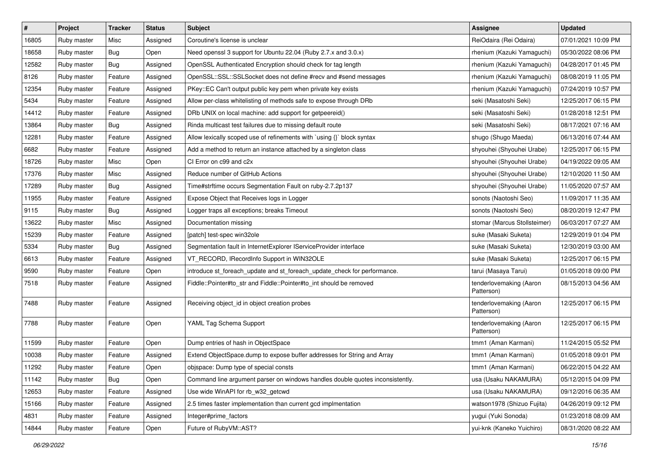| $\sharp$ | Project     | Tracker    | <b>Status</b> | <b>Subject</b>                                                                | <b>Assignee</b>                       | <b>Updated</b>      |
|----------|-------------|------------|---------------|-------------------------------------------------------------------------------|---------------------------------------|---------------------|
| 16805    | Ruby master | Misc       | Assigned      | Coroutine's license is unclear                                                | ReiOdaira (Rei Odaira)                | 07/01/2021 10:09 PM |
| 18658    | Ruby master | Bug        | Open          | Need openssl 3 support for Ubuntu 22.04 (Ruby 2.7.x and 3.0.x)                | rhenium (Kazuki Yamaguchi)            | 05/30/2022 08:06 PM |
| 12582    | Ruby master | <b>Bug</b> | Assigned      | OpenSSL Authenticated Encryption should check for tag length                  | rhenium (Kazuki Yamaguchi)            | 04/28/2017 01:45 PM |
| 8126     | Ruby master | Feature    | Assigned      | OpenSSL::SSL::SSLSocket does not define #recv and #send messages              | rhenium (Kazuki Yamaguchi)            | 08/08/2019 11:05 PM |
| 12354    | Ruby master | Feature    | Assigned      | PKey::EC Can't output public key pem when private key exists                  | rhenium (Kazuki Yamaguchi)            | 07/24/2019 10:57 PM |
| 5434     | Ruby master | Feature    | Assigned      | Allow per-class whitelisting of methods safe to expose through DRb            | seki (Masatoshi Seki)                 | 12/25/2017 06:15 PM |
| 14412    | Ruby master | Feature    | Assigned      | DRb UNIX on local machine: add support for getpeereid()                       | seki (Masatoshi Seki)                 | 01/28/2018 12:51 PM |
| 13864    | Ruby master | <b>Bug</b> | Assigned      | Rinda multicast test failures due to missing default route                    | seki (Masatoshi Seki)                 | 08/17/2021 07:16 AM |
| 12281    | Ruby master | Feature    | Assigned      | Allow lexically scoped use of refinements with `using {}` block syntax        | shugo (Shugo Maeda)                   | 06/13/2016 07:44 AM |
| 6682     | Ruby master | Feature    | Assigned      | Add a method to return an instance attached by a singleton class              | shyouhei (Shyouhei Urabe)             | 12/25/2017 06:15 PM |
| 18726    | Ruby master | Misc       | Open          | CI Error on c99 and c2x                                                       | shyouhei (Shyouhei Urabe)             | 04/19/2022 09:05 AM |
| 17376    | Ruby master | Misc       | Assigned      | Reduce number of GitHub Actions                                               | shyouhei (Shyouhei Urabe)             | 12/10/2020 11:50 AM |
| 17289    | Ruby master | <b>Bug</b> | Assigned      | Time#strftime occurs Segmentation Fault on ruby-2.7.2p137                     | shyouhei (Shyouhei Urabe)             | 11/05/2020 07:57 AM |
| 11955    | Ruby master | Feature    | Assigned      | Expose Object that Receives logs in Logger                                    | sonots (Naotoshi Seo)                 | 11/09/2017 11:35 AM |
| 9115     | Ruby master | Bug        | Assigned      | Logger traps all exceptions; breaks Timeout                                   | sonots (Naotoshi Seo)                 | 08/20/2019 12:47 PM |
| 13622    | Ruby master | Misc       | Assigned      | Documentation missing                                                         | stomar (Marcus Stollsteimer)          | 06/03/2017 07:27 AM |
| 15239    | Ruby master | Feature    | Assigned      | [patch] test-spec win32ole                                                    | suke (Masaki Suketa)                  | 12/29/2019 01:04 PM |
| 5334     | Ruby master | Bug        | Assigned      | Segmentation fault in InternetExplorer IServiceProvider interface             | suke (Masaki Suketa)                  | 12/30/2019 03:00 AM |
| 6613     | Ruby master | Feature    | Assigned      | VT_RECORD, IRecordInfo Support in WIN32OLE                                    | suke (Masaki Suketa)                  | 12/25/2017 06:15 PM |
| 9590     | Ruby master | Feature    | Open          | introduce st_foreach_update and st_foreach_update_check for performance.      | tarui (Masaya Tarui)                  | 01/05/2018 09:00 PM |
| 7518     | Ruby master | Feature    | Assigned      | Fiddle::Pointer#to_str and Fiddle::Pointer#to_int should be removed           | tenderlovemaking (Aaron<br>Patterson) | 08/15/2013 04:56 AM |
| 7488     | Ruby master | Feature    | Assigned      | Receiving object_id in object creation probes                                 | tenderlovemaking (Aaron<br>Patterson) | 12/25/2017 06:15 PM |
| 7788     | Ruby master | Feature    | Open          | YAML Tag Schema Support                                                       | tenderlovemaking (Aaron<br>Patterson) | 12/25/2017 06:15 PM |
| 11599    | Ruby master | Feature    | Open          | Dump entries of hash in ObjectSpace                                           | tmm1 (Aman Karmani)                   | 11/24/2015 05:52 PM |
| 10038    | Ruby master | Feature    | Assigned      | Extend ObjectSpace.dump to expose buffer addresses for String and Array       | tmm1 (Aman Karmani)                   | 01/05/2018 09:01 PM |
| 11292    | Ruby master | Feature    | Open          | objspace: Dump type of special consts                                         | tmm1 (Aman Karmani)                   | 06/22/2015 04:22 AM |
| 11142    | Ruby master | Bug        | Open          | Command line argument parser on windows handles double quotes inconsistently. | usa (Usaku NAKAMURA)                  | 05/12/2015 04:09 PM |
| 12653    | Ruby master | Feature    | Assigned      | Use wide WinAPI for rb_w32_getcwd                                             | usa (Usaku NAKAMURA)                  | 09/12/2016 06:35 AM |
| 15166    | Ruby master | Feature    | Assigned      | 2.5 times faster implementation than current gcd implmentation                | watson1978 (Shizuo Fujita)            | 04/26/2019 09:12 PM |
| 4831     | Ruby master | Feature    | Assigned      | Integer#prime factors                                                         | yugui (Yuki Sonoda)                   | 01/23/2018 08:09 AM |
| 14844    | Ruby master | Feature    | Open          | Future of RubyVM::AST?                                                        | yui-knk (Kaneko Yuichiro)             | 08/31/2020 08:22 AM |